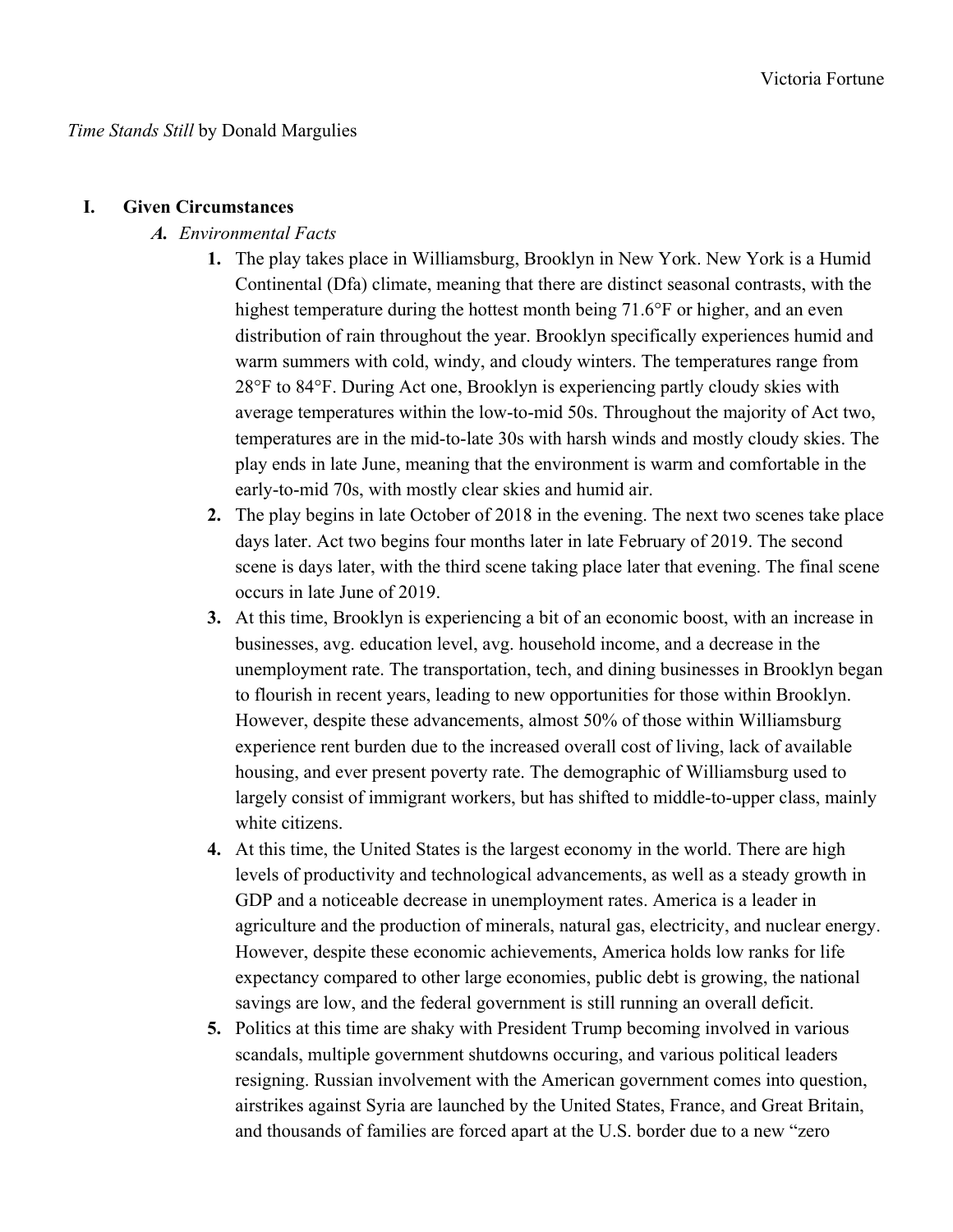### **I. Given Circumstances**

### *A. Environmental Facts*

- **1.** The play takes place in Williamsburg, Brooklyn in New York. New York is a Humid Continental (Dfa) climate, meaning that there are distinct seasonal contrasts, with the highest temperature during the hottest month being 71.6°F or higher, and an even distribution of rain throughout the year. Brooklyn specifically experiences humid and warm summers with cold, windy, and cloudy winters. The temperatures range from 28°F to 84°F. During Act one, Brooklyn is experiencing partly cloudy skies with average temperatures within the low-to-mid 50s. Throughout the majority of Act two, temperatures are in the mid-to-late 30s with harsh winds and mostly cloudy skies. The play ends in late June, meaning that the environment is warm and comfortable in the early-to-mid 70s, with mostly clear skies and humid air.
- **2.** The play begins in late October of 2018 in the evening. The next two scenes take place days later. Act two begins four months later in late February of 2019. The second scene is days later, with the third scene taking place later that evening. The final scene occurs in late June of 2019.
- **3.** At this time, Brooklyn is experiencing a bit of an economic boost, with an increase in businesses, avg. education level, avg. household income, and a decrease in the unemployment rate. The transportation, tech, and dining businesses in Brooklyn began to flourish in recent years, leading to new opportunities for those within Brooklyn. However, despite these advancements, almost 50% of those within Williamsburg experience rent burden due to the increased overall cost of living, lack of available housing, and ever present poverty rate. The demographic of Williamsburg used to largely consist of immigrant workers, but has shifted to middle-to-upper class, mainly white citizens.
- **4.** At this time, the United States is the largest economy in the world. There are high levels of productivity and technological advancements, as well as a steady growth in GDP and a noticeable decrease in unemployment rates. America is a leader in agriculture and the production of minerals, natural gas, electricity, and nuclear energy. However, despite these economic achievements, America holds low ranks for life expectancy compared to other large economies, public debt is growing, the national savings are low, and the federal government is still running an overall deficit.
- **5.** Politics at this time are shaky with President Trump becoming involved in various scandals, multiple government shutdowns occuring, and various political leaders resigning. Russian involvement with the American government comes into question, airstrikes against Syria are launched by the United States, France, and Great Britain, and thousands of families are forced apart at the U.S. border due to a new "zero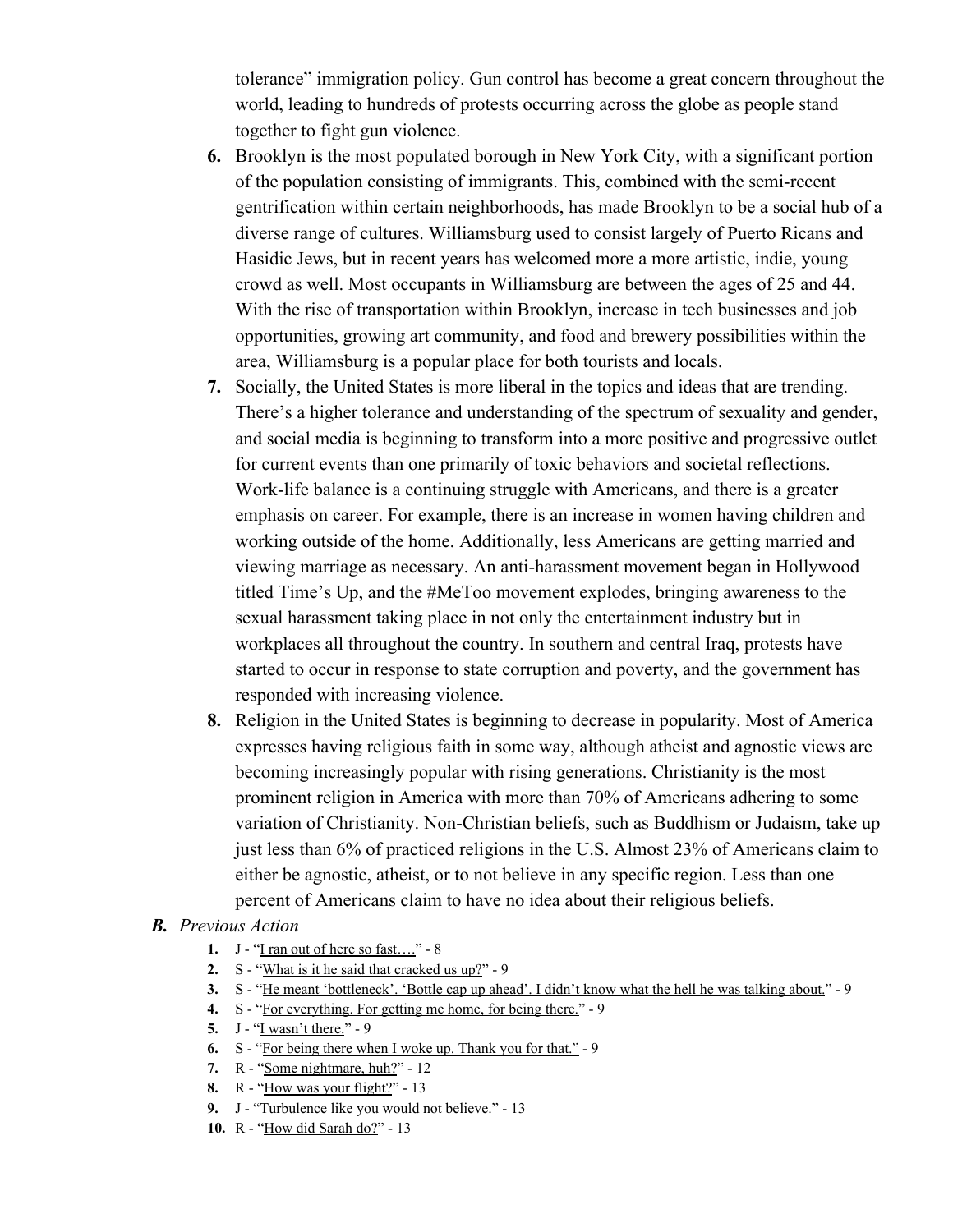tolerance" immigration policy. Gun control has become a great concern throughout the world, leading to hundreds of protests occurring across the globe as people stand together to fight gun violence.

- **6.** Brooklyn is the most populated borough in New York City, with a significant portion of the population consisting of immigrants. This, combined with the semi-recent gentrification within certain neighborhoods, has made Brooklyn to be a social hub of a diverse range of cultures. Williamsburg used to consist largely of Puerto Ricans and Hasidic Jews, but in recent years has welcomed more a more artistic, indie, young crowd as well. Most occupants in Williamsburg are between the ages of 25 and 44. With the rise of transportation within Brooklyn, increase in tech businesses and job opportunities, growing art community, and food and brewery possibilities within the area, Williamsburg is a popular place for both tourists and locals.
- **7.** Socially, the United States is more liberal in the topics and ideas that are trending. There's a higher tolerance and understanding of the spectrum of sexuality and gender, and social media is beginning to transform into a more positive and progressive outlet for current events than one primarily of toxic behaviors and societal reflections. Work-life balance is a continuing struggle with Americans, and there is a greater emphasis on career. For example, there is an increase in women having children and working outside of the home. Additionally, less Americans are getting married and viewing marriage as necessary. An anti-harassment movement began in Hollywood titled Time's Up, and the #MeToo movement explodes, bringing awareness to the sexual harassment taking place in not only the entertainment industry but in workplaces all throughout the country. In southern and central Iraq, protests have started to occur in response to state corruption and poverty, and the government has responded with increasing violence.
- **8.** Religion in the United States is beginning to decrease in popularity. Most of America expresses having religious faith in some way, although atheist and agnostic views are becoming increasingly popular with rising generations. Christianity is the most prominent religion in America with more than 70% of Americans adhering to some variation of Christianity. Non-Christian beliefs, such as Buddhism or Judaism, take up just less than 6% of practiced religions in the U.S. Almost 23% of Americans claim to either be agnostic, atheist, or to not believe in any specific region. Less than one percent of Americans claim to have no idea about their religious beliefs.

### *B. Previous Action*

- **1.** J "I ran out of here so fast…." 8
- **2.** S "What is it he said that cracked us up?" 9
- **3.** S "He meant 'bottleneck'. 'Bottle cap up ahead'. I didn't know what the hell he was talking about." 9
- **4.** S "For everything. For getting me home, for being there." 9
- **5.** J "I wasn't there." 9
- **6.** S "For being there when I woke up. Thank you for that." 9
- **7.** R "Some nightmare, huh?" 12
- **8.** R "How was your flight?" 13
- **9.** J "Turbulence like you would not believe." 13
- **10.** R "How did Sarah do?" 13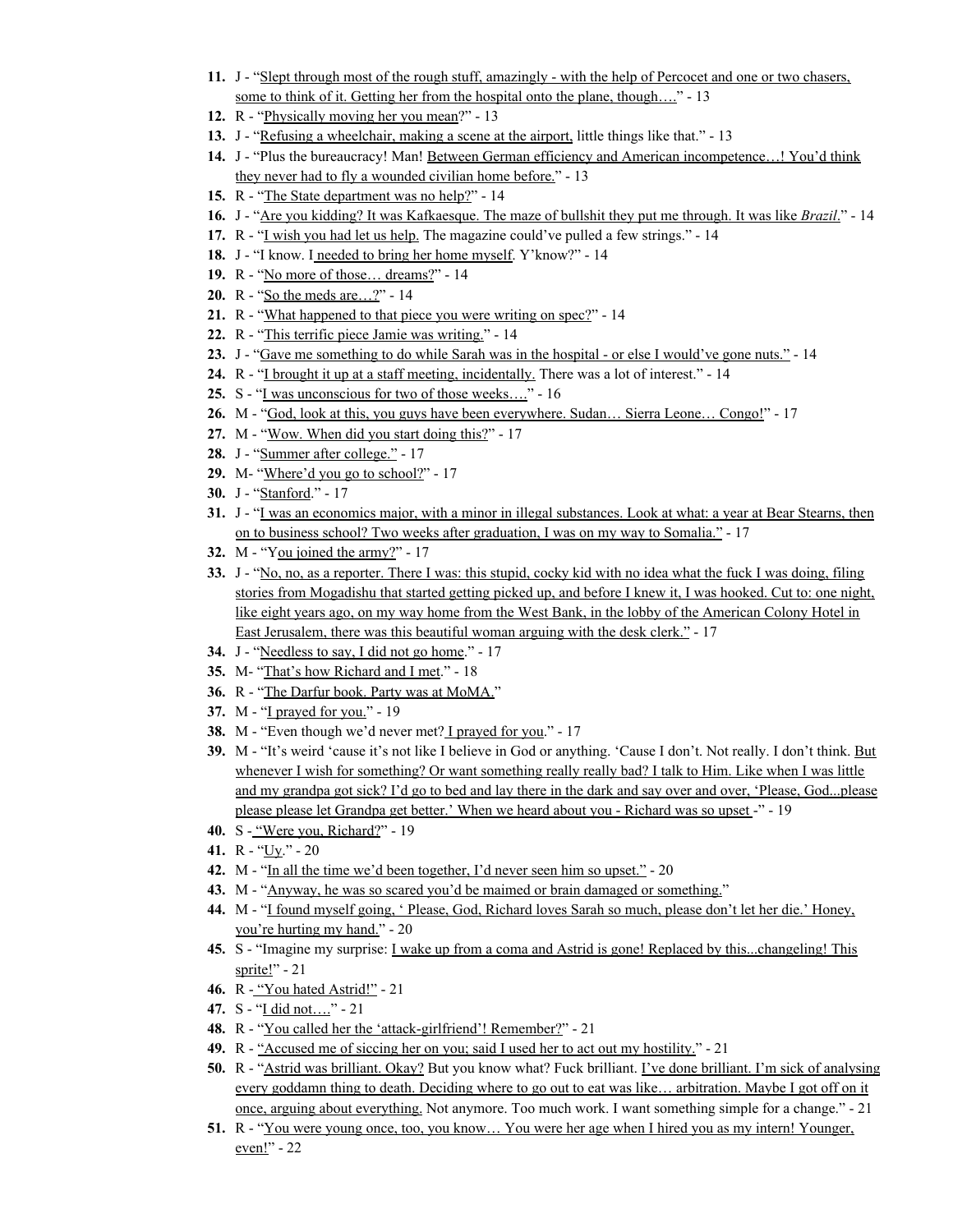- **11.** J "Slept through most of the rough stuff, amazingly with the help of Percocet and one or two chasers, some to think of it. Getting her from the hospital onto the plane, though…." - 13
- **12.** R "Physically moving her you mean?" 13
- **13.** J "Refusing a wheelchair, making a scene at the airport, little things like that." 13
- **14.** J "Plus the bureaucracy! Man! Between German efficiency and American incompetence…! You'd think they never had to fly a wounded civilian home before." - 13
- **15.** R "The State department was no help?" 14
- **16.** J "Are you kidding? It was Kafkaesque. The maze of bullshit they put me through. It was like *Brazil*." 14
- **17.** R "I wish you had let us help. The magazine could've pulled a few strings." 14
- **18.** J "I know. I needed to bring her home myself. Y'know?" 14
- **19.** R "No more of those… dreams?" 14
- **20.** R "So the meds are…?" 14
- **21.** R "What happened to that piece you were writing on spec?" 14
- **22.** R "This terrific piece Jamie was writing." 14
- **23.** J "Gave me something to do while Sarah was in the hospital or else I would've gone nuts." 14
- **24.** R "I brought it up at a staff meeting, incidentally. There was a lot of interest." 14
- **25.** S "I was unconscious for two of those weeks…." 16
- **26.** M "God, look at this, you guys have been everywhere. Sudan… Sierra Leone… Congo!" 17
- **27.** M "Wow. When did you start doing this?" 17
- 28. J "Summer after college." 17
- **29.** M- "Where'd you go to school?" 17
- **30.** J "Stanford." 17
- **31.** J "I was an economics major, with a minor in illegal substances. Look at what: a year at Bear Stearns, then on to business school? Two weeks after graduation, I was on my way to Somalia." - 17
- **32.** M "You joined the army?" 17
- **33.** J "No, no, as a reporter. There I was: this stupid, cocky kid with no idea what the fuck I was doing, filing stories from Mogadishu that started getting picked up, and before I knew it, I was hooked. Cut to: one night, like eight years ago, on my way home from the West Bank, in the lobby of the American Colony Hotel in East Jerusalem, there was this beautiful woman arguing with the desk clerk." - 17
- **34.** J "Needless to say, I did not go home." 17
- **35.** M- "That's how Richard and I met." 18
- **36.** R "The Darfur book. Party was at MoMA."
- **37.** M "I prayed for you." 19
- **38.** M "Even though we'd never met? I prayed for you." 17
- **39.** M "It's weird 'cause it's not like I believe in God or anything. 'Cause I don't. Not really. I don't think. But whenever I wish for something? Or want something really really bad? I talk to Him. Like when I was little and my grandpa got sick? I'd go to bed and lay there in the dark and say over and over, 'Please, God...please please please let Grandpa get better.' When we heard about you - Richard was so upset -" - 19
- **40.** S "Were you, Richard?" 19
- **41.** R "Uy." 20
- **42.** M "In all the time we'd been together, I'd never seen him so upset." 20
- **43.** M "Anyway, he was so scared you'd be maimed or brain damaged or something."
- **44.** M "I found myself going, ' Please, God, Richard loves Sarah so much, please don't let her die.' Honey, you're hurting my hand." - 20
- **45.** S "Imagine my surprise: I wake up from a coma and Astrid is gone! Replaced by this...changeling! This sprite!" $-21$
- **46.** R "You hated Astrid!" 21
- **47.** S "I did not…." 21
- **48.** R "You called her the 'attack-girlfriend'! Remember?" 21
- **49.** R "Accused me of siccing her on you; said I used her to act out my hostility." 21
- **50.** R "Astrid was brilliant. Okay? But you know what? Fuck brilliant. I've done brilliant. I'm sick of analysing every goddamn thing to death. Deciding where to go out to eat was like… arbitration. Maybe I got off on it once, arguing about everything. Not anymore. Too much work. I want something simple for a change." - 21
- **51.** R "You were young once, too, you know… You were her age when I hired you as my intern! Younger, even!" - 22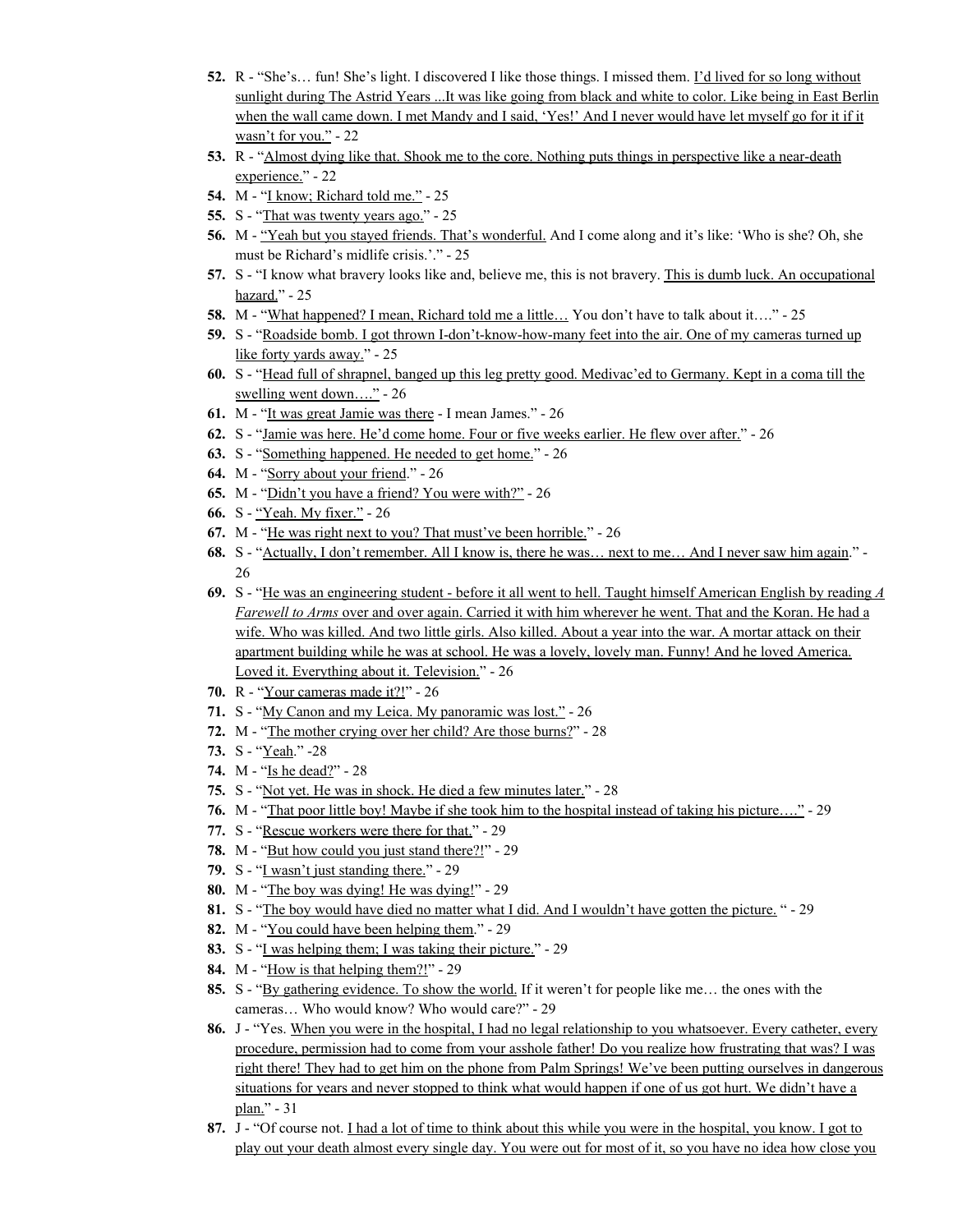- **52.** R "She's... fun! She's light. I discovered I like those things. I missed them. I'd lived for so long without sunlight during The Astrid Years ...It was like going from black and white to color. Like being in East Berlin when the wall came down. I met Mandy and I said, 'Yes!' And I never would have let myself go for it if it wasn't for you." - 22
- **53.** R "Almost dying like that. Shook me to the core. Nothing puts things in perspective like a near-death experience." - 22
- **54.** M "I know; Richard told me." 25
- **55.** S "That was twenty years ago." 25
- **56.** M "Yeah but you stayed friends. That's wonderful. And I come along and it's like: 'Who is she? Oh, she must be Richard's midlife crisis.'." - 25
- **57.** S "I know what bravery looks like and, believe me, this is not bravery. This is dumb luck. An occupational hazard." - 25
- **58.** M "What happened? I mean, Richard told me a little... You don't have to talk about it...." 25
- **59.** S "Roadside bomb. I got thrown I-don't-know-how-many feet into the air. One of my cameras turned up like forty yards away." - 25
- **60.** S "Head full of shrapnel, banged up this leg pretty good. Medivac'ed to Germany. Kept in a coma till the swelling went down…." - 26
- **61.** M "It was great Jamie was there I mean James." 26
- **62.** S "Jamie was here. He'd come home. Four or five weeks earlier. He flew over after." 26
- **63.** S "Something happened. He needed to get home." 26
- **64.** M "Sorry about your friend." 26
- **65.** M "Didn't you have a friend? You were with?" 26
- **66.** S "Yeah. My fixer." 26
- **67.** M "He was right next to you? That must've been horrible." 26
- **68.** S "Actually, I don't remember. All I know is, there he was... next to me... And I never saw him again." -26
- **69.** S "He was an engineering student before it all went to hell. Taught himself American English by reading *A Farewell to Arms* over and over again. Carried it with him wherever he went. That and the Koran. He had a wife. Who was killed. And two little girls. Also killed. About a year into the war. A mortar attack on their apartment building while he was at school. He was a lovely, lovely man. Funny! And he loved America. Loved it. Everything about it. Television." - 26
- **70.** R "Your cameras made it?!" 26
- **71.** S "My Canon and my Leica. My panoramic was lost." 26
- **72.** M "The mother crying over her child? Are those burns?" 28
- **73.** S "Yeah." -28
- **74.** M "Is he dead?" 28
- **75.** S "Not yet. He was in shock. He died a few minutes later." 28
- **76.** M "That poor little boy! Maybe if she took him to the hospital instead of taking his picture…." 29
- **77.** S "Rescue workers were there for that." 29
- **78.** M "But how could you just stand there?!" 29
- **79.** S "I wasn't just standing there." 29
- **80.** M "The boy was dying! He was dying!" 29
- **81.** S "The boy would have died no matter what I did. And I wouldn't have gotten the picture. " 29
- **82.** M "You could have been helping them." 29
- **83.** S "I was helping them; I was taking their picture." 29
- **84.** M "How is that helping them?!" 29
- **85.** S "By gathering evidence. To show the world. If it weren't for people like me… the ones with the cameras… Who would know? Who would care?" - 29
- **86.** J "Yes. When you were in the hospital, I had no legal relationship to you whatsoever. Every catheter, every procedure, permission had to come from your asshole father! Do you realize how frustrating that was? I was right there! They had to get him on the phone from Palm Springs! We've been putting ourselves in dangerous situations for years and never stopped to think what would happen if one of us got hurt. We didn't have a plan." - 31
- **87.** J "Of course not. I had a lot of time to think about this while you were in the hospital, you know. I got to play out your death almost every single day. You were out for most of it, so you have no idea how close you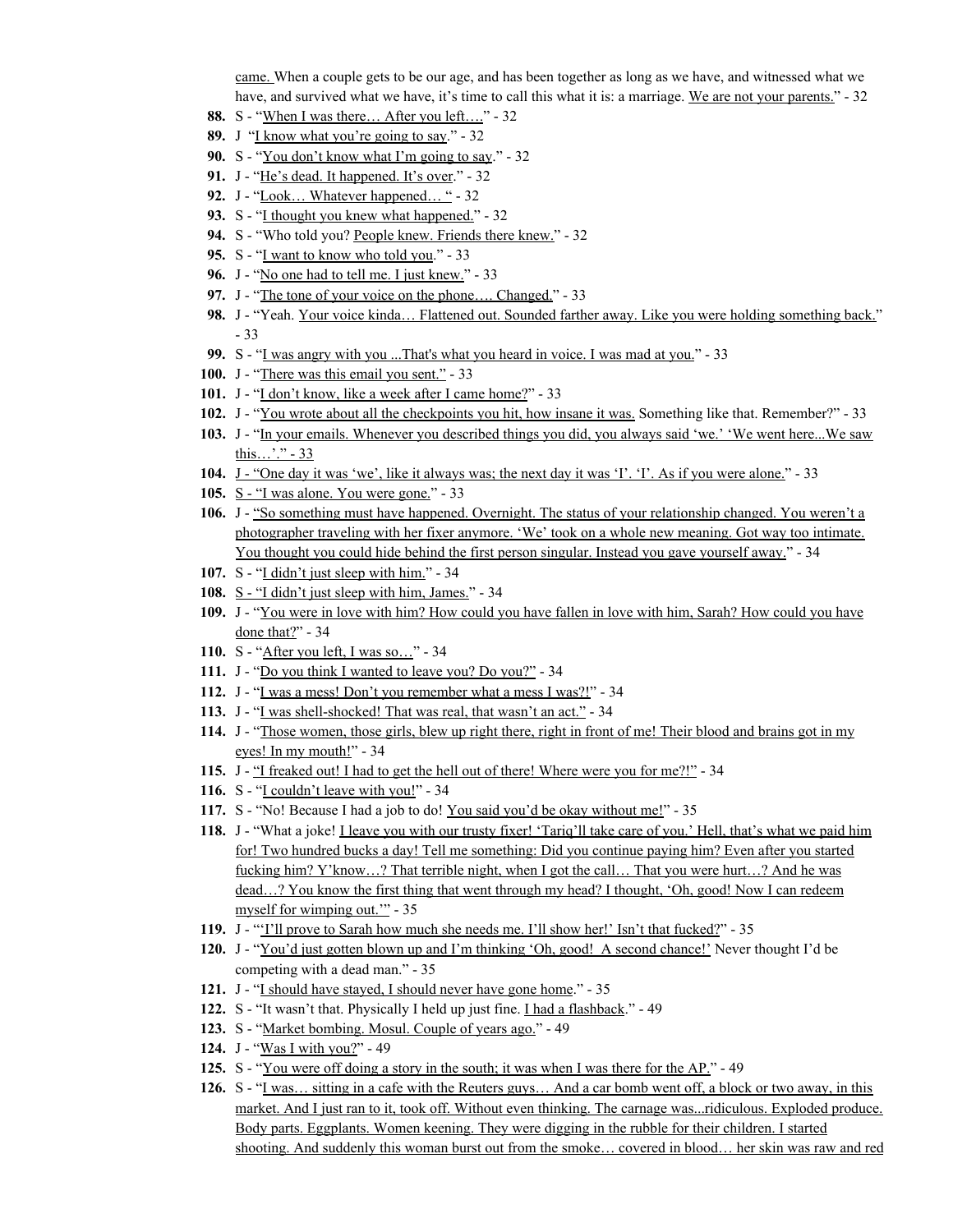came. When a couple gets to be our age, and has been together as long as we have, and witnessed what we have, and survived what we have, it's time to call this what it is: a marriage. We are not your parents." - 32

- 88. S "When I was there... After you left...." 32
- **89.** J "I know what you're going to say." 32
- **90.** S "You don't know what I'm going to say." 32
- **91.** J "He's dead. It happened. It's over." 32
- **92.** J "Look… Whatever happened… " 32
- **93.** S "I thought you knew what happened." 32
- 94. S "Who told you? People knew. Friends there knew." 32
- **95.** S "I want to know who told you." 33
- **96.** J "No one had to tell me. I just knew." 33
- **97.** J "The tone of your voice on the phone…. Changed." 33
- **98.** J "Yeah. Your voice kinda... Flattened out. Sounded farther away. Like you were holding something back." - 33
- **99.** S "I was angry with you ...That's what you heard in voice. I was mad at you." 33
- **100.** J "There was this email you sent." 33
- 101. J "I don't know, like a week after I came home?" 33
- **102.** J "You wrote about all the checkpoints you hit, how insane it was. Something like that. Remember?" 33
- **103.** J "In your emails. Whenever you described things you did, you always said 'we.' 'We went here...We saw this…'." - 33
- **104.** J "One day it was 'we', like it always was; the next day it was 'I'. 'I'. As if you were alone." 33
- **105.** S "I was alone. You were gone." 33
- **106.** J "So something must have happened. Overnight. The status of your relationship changed. You weren't a photographer traveling with her fixer anymore. 'We' took on a whole new meaning. Got way too intimate. You thought you could hide behind the first person singular. Instead you gave yourself away." - 34
- **107.** S "I didn't just sleep with him." 34
- **108.** S "I didn't just sleep with him, James." 34
- **109.** J "You were in love with him? How could you have fallen in love with him, Sarah? How could you have done that?" - 34
- **110.** S "After you left, I was so…" 34
- **111.** J "Do you think I wanted to leave you? Do you?" 34
- **112.** J "I was a mess! Don't you remember what a mess I was?!" 34
- **113.** J "I was shell-shocked! That was real, that wasn't an act." 34
- **114.** J "Those women, those girls, blew up right there, right in front of me! Their blood and brains got in my eyes! In my mouth!" - 34
- **115.** J "I freaked out! I had to get the hell out of there! Where were you for me?!" 34
- **116.** S "**I** couldn't leave with you!" 34
- **117.** S "No! Because I had a job to do! You said you'd be okay without me!" 35
- **118.** J "What a joke! I leave you with our trusty fixer! 'Tariq'll take care of you.' Hell, that's what we paid him for! Two hundred bucks a day! Tell me something: Did you continue paying him? Even after you started fucking him? Y'know…? That terrible night, when I got the call… That you were hurt…? And he was dead...? You know the first thing that went through my head? I thought, 'Oh, good! Now I can redeem myself for wimping out.'" - 35
- **119.** J "'I'll prove to Sarah how much she needs me. I'll show her!' Isn't that fucked?" 35
- **120.** J "You'd just gotten blown up and I'm thinking 'Oh, good! A second chance!' Never thought I'd be competing with a dead man." - 35
- **121.** J "I should have stayed, I should never have gone home." 35
- **122.** S "It wasn't that. Physically I held up just fine. I had a flashback." 49
- **123.** S "Market bombing. Mosul. Couple of years ago." 49
- **124.** J "Was I with you?" 49
- **125.** S "You were off doing a story in the south; it was when I was there for the AP." 49
- **126.** S "I was… sitting in a cafe with the Reuters guys… And a car bomb went off, a block or two away, in this market. And I just ran to it, took off. Without even thinking. The carnage was...ridiculous. Exploded produce. Body parts. Eggplants. Women keening. They were digging in the rubble for their children. I started shooting. And suddenly this woman burst out from the smoke… covered in blood… her skin was raw and red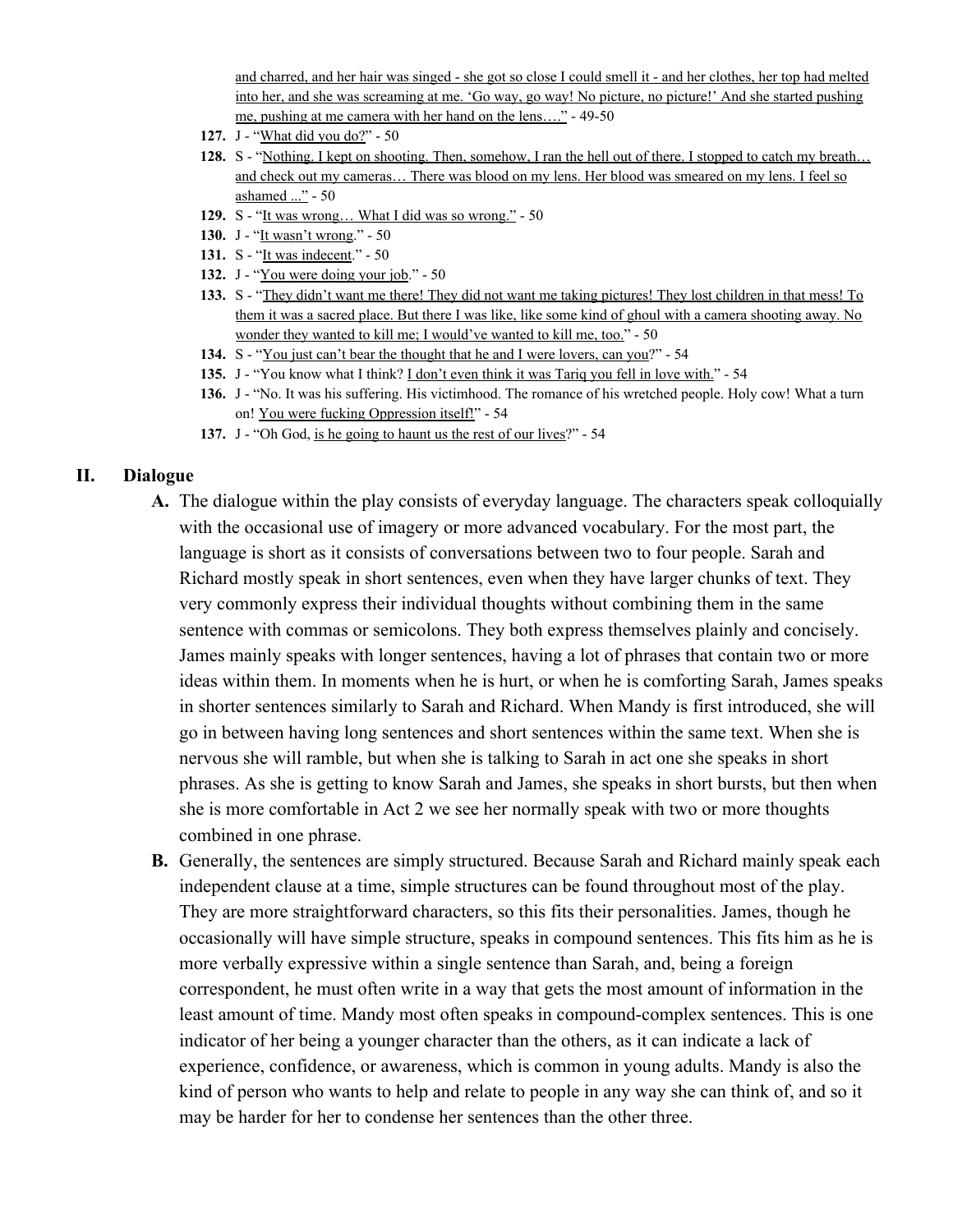and charred, and her hair was singed - she got so close I could smell it - and her clothes, her top had melted into her, and she was screaming at me. 'Go way, go way! No picture, no picture!' And she started pushing me, pushing at me camera with her hand on the lens…." - 49-50

- **127.** J "What did you do?" 50
- **128.** S "Nothing. I kept on shooting. Then, somehow, I ran the hell out of there. I stopped to catch my breath... and check out my cameras… There was blood on my lens. Her blood was smeared on my lens. I feel so ashamed ..." - 50
- **129.** S "It was wrong… What I did was so wrong." 50
- **130.** J "It wasn't wrong." 50
- **131.** S "It was indecent." 50
- **132.** J "You were doing your job." 50
- **133.** S "They didn't want me there! They did not want me taking pictures! They lost children in that mess! To them it was a sacred place. But there I was like, like some kind of ghoul with a camera shooting away. No wonder they wanted to kill me; I would've wanted to kill me, too." - 50
- **134.** S "You just can't bear the thought that he and I were lovers, can you?" 54
- **135.** J "You know what I think? I don't even think it was Tariq you fell in love with." 54
- **136.** J "No. It was his suffering. His victimhood. The romance of his wretched people. Holy cow! What a turn on! You were fucking Oppression itself!" - 54
- **137.** J "Oh God, is he going to haunt us the rest of our lives?" 54

#### **II. Dialogue**

- **A.** The dialogue within the play consists of everyday language. The characters speak colloquially with the occasional use of imagery or more advanced vocabulary. For the most part, the language is short as it consists of conversations between two to four people. Sarah and Richard mostly speak in short sentences, even when they have larger chunks of text. They very commonly express their individual thoughts without combining them in the same sentence with commas or semicolons. They both express themselves plainly and concisely. James mainly speaks with longer sentences, having a lot of phrases that contain two or more ideas within them. In moments when he is hurt, or when he is comforting Sarah, James speaks in shorter sentences similarly to Sarah and Richard. When Mandy is first introduced, she will go in between having long sentences and short sentences within the same text. When she is nervous she will ramble, but when she is talking to Sarah in act one she speaks in short phrases. As she is getting to know Sarah and James, she speaks in short bursts, but then when she is more comfortable in Act 2 we see her normally speak with two or more thoughts combined in one phrase.
- **B.** Generally, the sentences are simply structured. Because Sarah and Richard mainly speak each independent clause at a time, simple structures can be found throughout most of the play. They are more straightforward characters, so this fits their personalities. James, though he occasionally will have simple structure, speaks in compound sentences. This fits him as he is more verbally expressive within a single sentence than Sarah, and, being a foreign correspondent, he must often write in a way that gets the most amount of information in the least amount of time. Mandy most often speaks in compound-complex sentences. This is one indicator of her being a younger character than the others, as it can indicate a lack of experience, confidence, or awareness, which is common in young adults. Mandy is also the kind of person who wants to help and relate to people in any way she can think of, and so it may be harder for her to condense her sentences than the other three.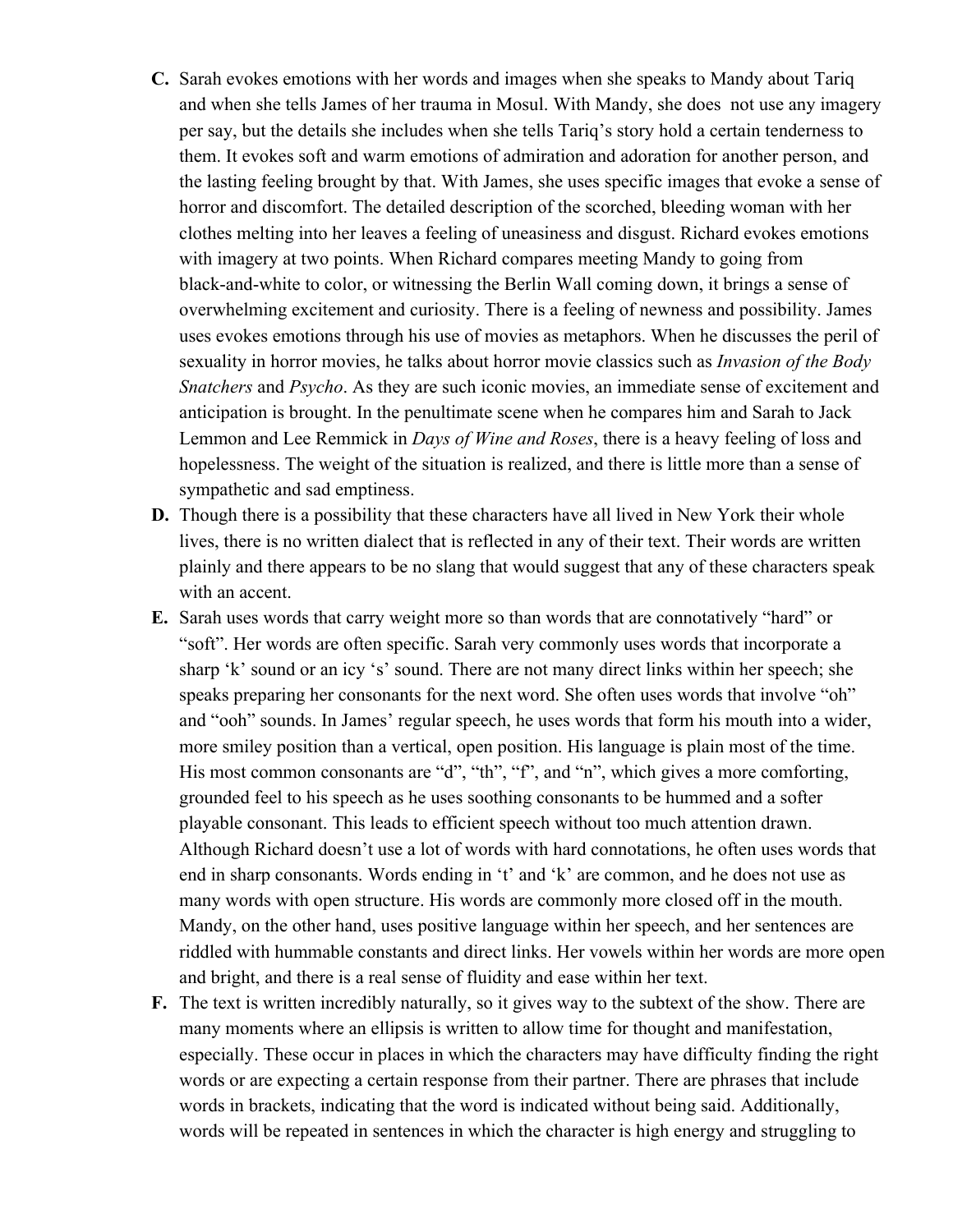- **C.** Sarah evokes emotions with her words and images when she speaks to Mandy about Tariq and when she tells James of her trauma in Mosul. With Mandy, she does not use any imagery per say, but the details she includes when she tells Tariq's story hold a certain tenderness to them. It evokes soft and warm emotions of admiration and adoration for another person, and the lasting feeling brought by that. With James, she uses specific images that evoke a sense of horror and discomfort. The detailed description of the scorched, bleeding woman with her clothes melting into her leaves a feeling of uneasiness and disgust. Richard evokes emotions with imagery at two points. When Richard compares meeting Mandy to going from black-and-white to color, or witnessing the Berlin Wall coming down, it brings a sense of overwhelming excitement and curiosity. There is a feeling of newness and possibility. James uses evokes emotions through his use of movies as metaphors. When he discusses the peril of sexuality in horror movies, he talks about horror movie classics such as *Invasion of the Body Snatchers* and *Psycho*. As they are such iconic movies, an immediate sense of excitement and anticipation is brought. In the penultimate scene when he compares him and Sarah to Jack Lemmon and Lee Remmick in *Days of Wine and Roses*, there is a heavy feeling of loss and hopelessness. The weight of the situation is realized, and there is little more than a sense of sympathetic and sad emptiness.
- **D.** Though there is a possibility that these characters have all lived in New York their whole lives, there is no written dialect that is reflected in any of their text. Their words are written plainly and there appears to be no slang that would suggest that any of these characters speak with an accent.
- **E.** Sarah uses words that carry weight more so than words that are connotatively "hard" or "soft". Her words are often specific. Sarah very commonly uses words that incorporate a sharp 'k' sound or an icy 's' sound. There are not many direct links within her speech; she speaks preparing her consonants for the next word. She often uses words that involve "oh" and "ooh" sounds. In James' regular speech, he uses words that form his mouth into a wider, more smiley position than a vertical, open position. His language is plain most of the time. His most common consonants are "d", "th", "f", and "n", which gives a more comforting, grounded feel to his speech as he uses soothing consonants to be hummed and a softer playable consonant. This leads to efficient speech without too much attention drawn. Although Richard doesn't use a lot of words with hard connotations, he often uses words that end in sharp consonants. Words ending in 't' and 'k' are common, and he does not use as many words with open structure. His words are commonly more closed off in the mouth. Mandy, on the other hand, uses positive language within her speech, and her sentences are riddled with hummable constants and direct links. Her vowels within her words are more open and bright, and there is a real sense of fluidity and ease within her text.
- **F.** The text is written incredibly naturally, so it gives way to the subtext of the show. There are many moments where an ellipsis is written to allow time for thought and manifestation, especially. These occur in places in which the characters may have difficulty finding the right words or are expecting a certain response from their partner. There are phrases that include words in brackets, indicating that the word is indicated without being said. Additionally, words will be repeated in sentences in which the character is high energy and struggling to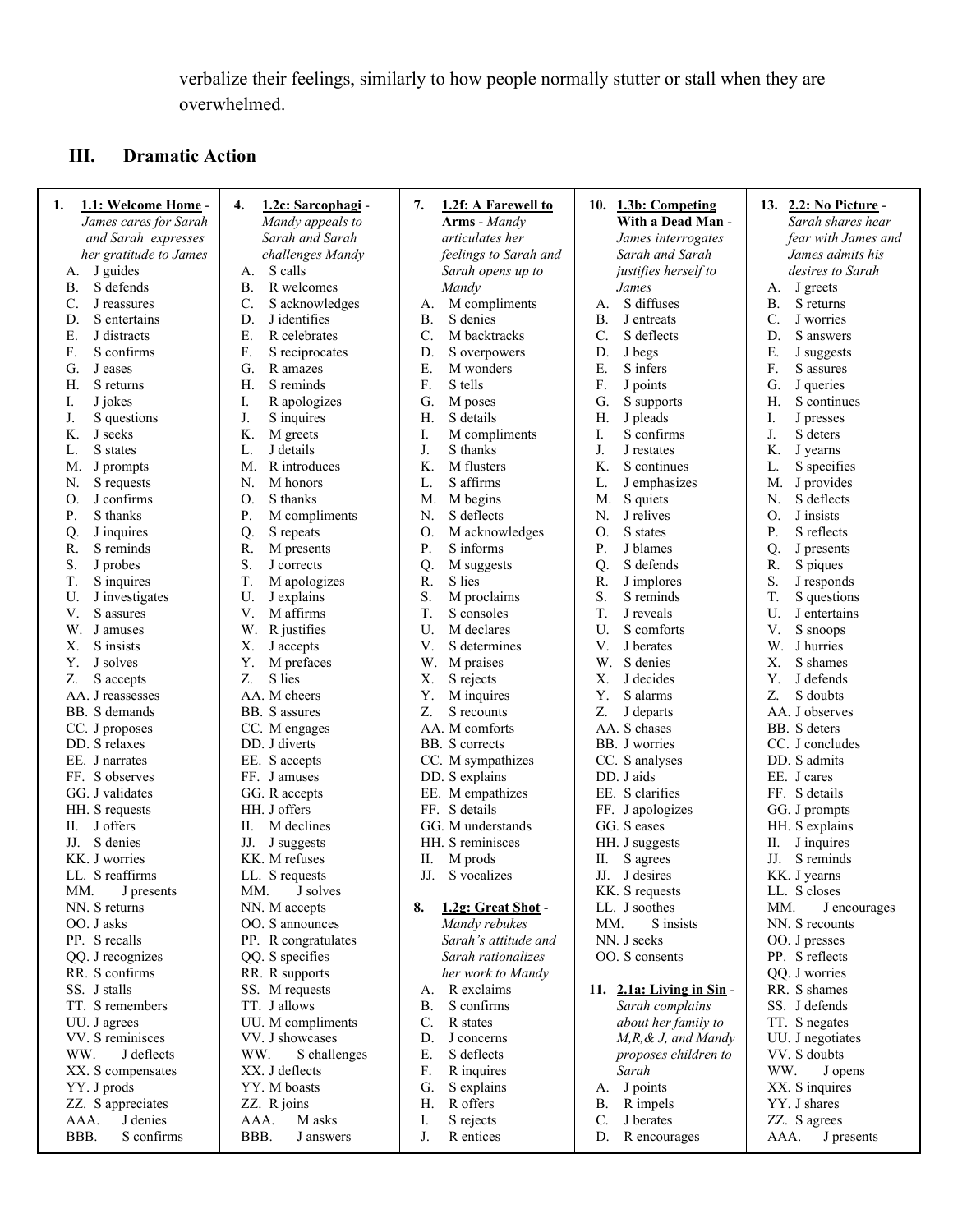verbalize their feelings, similarly to how people normally stutter or stall when they are overwhelmed.

# **III. Dramatic Action**

| 1.1: Welcome Home -<br>1. | 1.2c: Sarcophagi -<br>4. | 1.2f: A Farewell to<br>7. | 10. 1.3b: Competing           | 13. 2.2: No Picture -        |
|---------------------------|--------------------------|---------------------------|-------------------------------|------------------------------|
| James cares for Sarah     | Mandy appeals to         | <b>Arms</b> - Mandy       | With a Dead Man -             | Sarah shares hear            |
| and Sarah expresses       | Sarah and Sarah          | articulates her           | James interrogates            | fear with James and          |
| her gratitude to James    | challenges Mandy         | feelings to Sarah and     | Sarah and Sarah               | James admits his             |
| J guides<br>А.            | S calls<br>А.            | Sarah opens up to         | justifies herself to          | desires to Sarah             |
| S defends<br><b>B.</b>    | B.<br>R welcomes         | Mandy                     | James                         | J greets<br>А.               |
| C.<br>J reassures         | S acknowledges<br>C.     | M compliments<br>A.       | S diffuses<br>А.              | B.<br>S returns              |
| D.<br>S entertains        | J identifies<br>D.       | <b>B.</b><br>S denies     | <b>B.</b><br>J entreats       | C.<br>J worries              |
| Ε.<br>J distracts         | Ε.<br>R celebrates       | C.<br>M backtracks        | $\mathcal{C}$ .<br>S deflects | D.<br>S answers              |
| F.<br>S confirms          | F.<br>S reciprocates     | D.<br>S overpowers        | D.<br>J begs                  | Ε.<br>J suggests             |
| G.<br>J eases             | G.<br>R amazes           | Ε.<br>M wonders           | Ε.<br>S infers                | F.<br>S assures              |
| Η.<br>S returns           | S reminds<br>Н.          | F.<br>S tells             | F.<br>J points                | G.<br>J queries              |
| Ι.<br>J jokes             | I.<br>R apologizes       | G.<br>M poses             | G.<br>S supports              | Η.<br>S continues            |
| J.<br>S questions         | J.<br>S inquires         | S details<br>Н.           | J pleads<br>Н.                | Ι.<br>J presses              |
| K.<br>J seeks             | K.<br>M greets           | Ι.<br>M compliments       | S confirms<br>I.              | J.<br>S deters               |
| L.<br>S states            | J details<br>L.          | J.<br>S thanks            | J.<br>J restates              | K.<br>J yearns               |
| M.<br>J prompts           | R introduces<br>M.       | K.<br>M flusters          | K.<br>S continues             | L.<br>S specifies            |
| S requests<br>N.          | N.<br>M honors           | S affirms<br>L.           | L.<br>J emphasizes            | M.<br>J provides             |
| J confirms<br>О.          | S thanks<br>O.           | M begins<br>M.            | M.<br>S quiets                | S deflects<br>N.             |
| P.<br>S thanks            | M compliments<br>P.      | S deflects<br>N.          | J relives<br>N.               | $\mathcal{O}$ .<br>J insists |
| J inquires<br>Q.          | Q.<br>S repeats          | 0.<br>M acknowledges      | S states<br>0.                | P.<br>S reflects             |
| S reminds<br>R.           | R.<br>M presents         | P.<br>S informs           | Ρ.<br>J blames                | Q.<br>J presents             |
| S.<br>J probes            | S.<br>J corrects         | Q.<br>M suggests          | S defends<br>Q.               | R.<br>S piques               |
| T.<br>S inquires          | T.<br>M apologizes       | R.<br>S lies              | R.<br>J implores              | S.<br>J responds             |
| U.<br>J investigates      | U.<br>J explains         | S.<br>M proclaims         | S.<br>S reminds               | T.<br>S questions            |
| V.<br>S assures           | V.<br>M affirms          | T.<br>S consoles          | T.<br>J reveals               | U.<br>J entertains           |
| W.<br>J amuses            | R justifies<br>W.        | U.<br>M declares          | U.<br>S comforts              | V.<br>S snoops               |
| X.<br>S insists           | X.<br>J accepts          | V.<br>S determines        | V.<br>J berates               | W.<br>J hurries              |
| Υ.<br>J solves            | Y.<br>M prefaces         | W.<br>M praises           | W.<br>S denies                | X.<br>S shames               |
| Z.<br>S accepts           | S lies<br>Z.             | Х.<br>S rejects           | X.<br>J decides               | Y.<br>J defends              |
| AA. J reassesses          | AA. M cheers             | Y.<br>M inquires          | Y.<br>S alarms                | Z.<br>S doubts               |
| BB. S demands             | BB. S assures            | Z.<br>S recounts          | Z.<br>J departs               | AA. J observes               |
| CC. J proposes            | CC. M engages            | AA. M comforts            | AA. S chases                  | BB. S deters                 |
| DD. S relaxes             | DD. J diverts            | BB. S corrects            | BB. J worries                 | CC. J concludes              |
| EE. J narrates            | EE. S accepts            | CC. M sympathizes         | CC. S analyses                | DD. S admits                 |
| FF. S observes            | FF. J amuses             | DD. S explains            | DD. J aids                    | EE. J cares                  |
| GG. J validates           | GG. R accepts            | EE. M empathizes          | EE. S clarifies               | FF. S details                |
| HH. S requests            | HH. J offers             | FF. S details             | FF. J apologizes              | GG. J prompts                |
| J offers<br>П.            | П.<br>M declines         | GG. M understands         | GG. S eases                   | HH. S explains               |
| S denies<br>JJ.           | JJ.<br>J suggests        | HH. S reminisces          | HH. J suggests                | J inquires<br>П.             |
| KK. J worries             | KK. M refuses            | П.<br>M prods             | П.<br>S agrees                | S reminds<br>JJ.             |
| LL. S reaffirms           | LL. S requests           | S vocalizes<br>JJ.        | JJ. J desires                 | KK. J yearns                 |
| MM.<br>J presents         | MM.<br>J solves          |                           | KK. S requests                | LL. S closes                 |
| NN. S returns             | NN. M accepts            | 1.2g: Great Shot -<br>8.  | LL. J soothes                 | MM.<br>J encourages          |
| OO. J asks                | OO. S announces          | Mandy rebukes             | S insists<br>MM.              | NN. S recounts               |
| PP. S recalls             | PP. R congratulates      | Sarah's attitude and      | NN. J seeks                   | OO. J presses                |
| QQ. J recognizes          | QQ. S specifies          | Sarah rationalizes        | OO. S consents                | PP. S reflects               |
| RR. S confirms            | RR. R supports           | her work to Mandy         |                               | QQ. J worries                |
| SS. J stalls              | SS. M requests           | A. R exclaims             | 11. $2.1a$ : Living in Sin -  | RR. S shames                 |
| TT. S remembers           | TT. J allows             | S confirms<br><b>B.</b>   | Sarah complains               | SS. J defends                |
| UU. J agrees              | UU. M compliments        | C.<br>R states            | about her family to           | TT. S negates                |
| VV. S reminisces          | VV. J showcases          | D.<br>J concerns          | M,R, & J, and Mandy           | UU. J negotiates             |
| WW.<br>J deflects         | WW.<br>S challenges      | E.<br>S deflects          | proposes children to          | VV. S doubts                 |
| XX. S compensates         | XX. J deflects           | F.<br>R inquires          | Sarah                         | WW.<br>J opens               |
| YY. J prods               | YY. M boasts             | G.<br>S explains          | J points<br>А.                | XX. S inquires               |
| ZZ. S appreciates         | ZZ. R joins              | R offers<br>H.            | R impels<br>В.                | YY. J shares                 |
| AAA.<br>J denies          | AAA.<br>M asks           | Ι.<br>S rejects           | C.<br>J berates               | ZZ. S agrees                 |
| BBB.<br>S confirms        | BBB.<br>J answers        | J.<br>R entices           | R encourages<br>D.            | AAA.<br>J presents           |
|                           |                          |                           |                               |                              |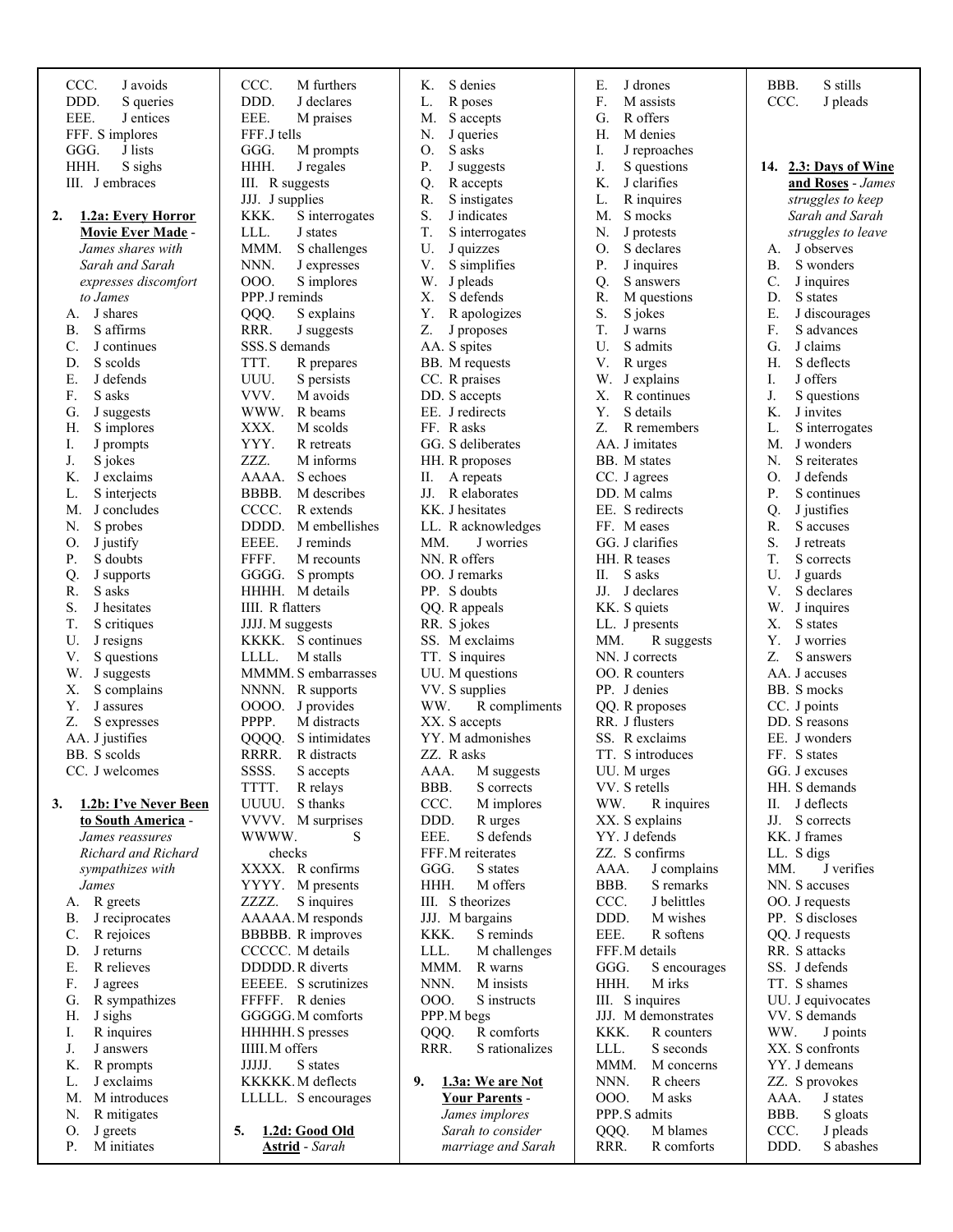| CCC.<br>J avoids                | CCC.<br>M furthers     | Κ.<br>S denies               | Е.<br>J drones        | BBB.<br>S stills           |
|---------------------------------|------------------------|------------------------------|-----------------------|----------------------------|
| DDD.<br>S queries               | DDD.<br>J declares     | R poses<br>L.                | F.<br>M assists       | CCC.<br>J pleads           |
| EEE.<br>J entices               | EEE.<br>M praises      | S accepts<br>M.              | G.<br>R offers        |                            |
| FFF. S implores                 | FFF.J tells            | N.<br>J queries              | Н.<br>M denies        |                            |
| GGG.<br>J lists                 | GGG.<br>M prompts      | O.<br>S asks                 | J reproaches<br>Ι.    |                            |
| HHH.<br>S sighs                 | HHH.<br>J regales      | P.<br>J suggests             | J.<br>S questions     | 14. 2.3: Days of Wine      |
| III. J embraces                 | III. R suggests        | Q.<br>R accepts              | K.<br>J clarifies     | and Roses - James          |
|                                 | JJJ. J supplies        | R.<br>S instigates           | L.<br>R inquires      | struggles to keep          |
| 2.<br><b>1.2a: Every Horror</b> | KKK.<br>S interrogates | S.<br>J indicates            | S mocks<br>M.         | Sarah and Sarah            |
| <b>Movie Ever Made -</b>        | LLL.<br>J states       | T.<br>S interrogates         | N.<br>J protests      | struggles to leave         |
| James shares with               | MMM.<br>S challenges   | U.<br>J quizzes              | S declares<br>О.      | J observes<br>А.           |
| Sarah and Sarah                 | NNN.<br>J expresses    | V.<br>S simplifies           | P.<br>J inquires      | <b>B</b> .<br>S wonders    |
| expresses discomfort            | 000.<br>S implores     | W.<br>J pleads               | S answers<br>Q.       | C.<br>J inquires           |
| to James                        | PPP.J reminds          | S defends<br>Х.              | M questions<br>R.     | D.<br>S states             |
| J shares<br>А.                  | QQQ.<br>S explains     | $\mathbf Y.$<br>R apologizes | S.<br>S jokes         | Ε.<br>J discourages        |
| S affirms<br>В.                 | RRR.<br>J suggests     | Z.<br>J proposes             | T.<br>J warns         | F.<br>S advances           |
| J continues<br>C.               | SSS.S demands          | AA. S spites                 | U.<br>S admits        | J claims<br>G.             |
| S scolds<br>D.                  | TTT.<br>R prepares     | BB. M requests               | R urges<br>V.         | S deflects<br>Н.           |
| Ε.<br>J defends                 | UUU.<br>S persists     | CC. R praises                | W.<br>J explains      | J offers<br>I.             |
| F.<br>S asks                    | VVV.<br>M avoids       | DD. S accepts                | Х.<br>R continues     | J.<br>S questions          |
| J suggests<br>G.                | WWW.<br>R beams        | EE. J redirects              | S details<br>Υ.       | J invites<br>K.            |
| S implores<br>Н.                | M scolds<br>XXX.       | FF. Rasks                    | R remembers<br>Z.     | S interrogates<br>L.       |
| J prompts<br>I.                 | YYY.<br>R retreats     | GG. S deliberates            | AA. J imitates        | M.<br>J wonders            |
| J.<br>S jokes                   | ZZZ.<br>M informs      | HH. R proposes               | BB. M states          | S reiterates<br>N.         |
| J exclaims<br>Κ.                | AAAA.<br>S echoes      | II. A repeats                | CC. J agrees          | J defends<br>Ο.            |
| S interjects<br>L.              | M describes<br>BBBB.   | JJ. R elaborates             | DD. M calms           | Ρ.<br>S continues          |
| J concludes<br>M.               | CCCC.<br>R extends     | KK. J hesitates              | EE. S redirects       | J justifies<br>$Q_{\cdot}$ |
| S probes<br>N.                  | DDDD. M embellishes    | LL. R acknowledges           | FF. Meases            | R.<br>S accuses            |
| J justify<br>O.                 | EEEE.<br>J reminds     | MM.<br>J worries             | GG. J clarifies       | S.<br>J retreats           |
| S doubts<br>Р.                  | FFFF.<br>M recounts    | NN. R offers                 | HH. R teases          | T.<br>S corrects           |
| Q.<br>J supports                | GGGG. S prompts        | OO. J remarks                | S asks<br>П.          | U.<br>J guards             |
| S asks<br>R.                    | HHHH. M details        | PP. S doubts                 | JJ. J declares        | V.<br>S declares           |
| S.<br>J hesitates               | IIII. R flatters       | QQ. R appeals                | KK. S quiets          | W.<br>J inquires           |
| T.<br>S critiques               | JJJJ. M suggests       | RR. S jokes                  | LL. J presents        | Х.<br>S states             |
| U.<br>J resigns                 | KKKK. S continues      | SS. M exclaims               | MM.<br>R suggests     | Υ.<br>J worries            |
| V.<br>S questions               | M stalls<br>LLLL.      | TT. S inquires               | NN. J corrects        | Z.<br>S answers            |
| J suggests<br>W.                | MMMM. S embarrasses    | UU. M questions              | OO. R counters        | AA. J accuses              |
| S complains<br>Х.               | NNNN. R supports       | VV. S supplies               | PP. J denies          | BB. S mocks                |
| Υ.<br>J assures                 | OOOO. J provides       | WW.<br>R compliments         | QQ. R proposes        | CC. J points               |
| Z.<br>S expresses               | PPPP.<br>M distracts   | XX. S accepts                | RR. J flusters        | DD. S reasons              |
| AA. J justifies                 | S intimidates<br>QQQQ. | YY. M admonishes             | SS. R exclaims        | EE. J wonders              |
| BB. S scolds                    | RRRR. R distracts      | ZZ. R asks                   | TT. S introduces      | FF. S states               |
| CC. J welcomes                  | SSSS.<br>S accepts     | AAA.<br>M suggests           | UU. M urges           | GG. J excuses              |
|                                 | TTTT.<br>R relays      | BBB.<br>S corrects           | VV. S retells         | HH. S demands              |
| 3.<br>1.2b: I've Never Been     | UUUU. S thanks         | CCC.<br>M implores           | WW.<br>R inquires     | II. J deflects             |
| to South America -              | VVVV. M surprises      | DDD.<br>R urges              | XX. S explains        | JJ. S corrects             |
| James reassures                 | WWWW.<br>S             | EEE.<br>S defends            | YY. J defends         | KK. J frames               |
| Richard and Richard             | checks                 | FFF.M reiterates             | ZZ. S confirms        | LL. S digs                 |
| sympathizes with                | XXXX. R confirms       | GGG.<br>S states             | AAA.<br>J complains   | J verifies<br>MM.          |
| James                           | YYYY. M presents       | HHH.<br>M offers             | BBB.<br>S remarks     | NN. S accuses              |
| A. R greets                     | S inquires<br>ZZZZ.    | III. S theorizes             | J belittles<br>CCC.   | OO. J requests             |
| J reciprocates<br>В.            | AAAAA. M responds      | JJJ. M bargains              | DDD.<br>M wishes      | PP. S discloses            |
| $C_{\cdot}$<br>R rejoices       | BBBBB. R improves      | KKK.<br>S reminds            | EEE.<br>R softens     | QQ. J requests             |
| J returns<br>D.                 | CCCCC. M details       | LLL.<br>M challenges         | FFF.M details         | RR. S attacks              |
| Ε.<br>R relieves                | DDDDD. R diverts       | MMM.<br>R warns              | GGG.<br>S encourages  | SS. J defends              |
| F.<br>J agrees                  | EEEEE. S scrutinizes   | NNN.<br>M insists            | HHH.<br>M irks        | TT. S shames               |
| R sympathizes<br>G.             | FFFFF. R denies        | 000.<br>S instructs          | III. S inquires       | UU. J equivocates          |
| J sighs<br>Н.                   | GGGGG. M comforts      | PPP.M begs                   | JJJ. M demonstrates   | VV. S demands              |
| R inquires<br>I.                | HHHHH. S presses       | R comforts<br>QQQ.           | KKK.<br>R counters    | WW.<br>J points            |
| J.<br>J answers                 | IIII.M offers          | RRR.<br>S rationalizes       | LLL.<br>S seconds     | XX. S confronts            |
| R prompts<br>K.                 | JJJJJ.<br>S states     |                              | MMM.<br>M concerns    | YY. J demeans              |
| J exclaims<br>L.                | KKKKK. M deflects      | 1.3a: We are Not<br>9.       | NNN.<br>R cheers      | ZZ. S provokes             |
| M.<br>M introduces              | LLLLL. S encourages    | <b>Your Parents -</b>        | <b>OOO.</b><br>M asks | AAA.<br>J states           |
| R mitigates<br>N.               |                        | James implores               | PPP.S admits          | BBB.<br>S gloats           |
| J greets<br>O.                  | 1.2d: Good Old<br>5.   | Sarah to consider            | M blames<br>QQQ.      | CCC.<br>J pleads           |
| M initiates<br>Ρ.               | <b>Astrid</b> - Sarah  | marriage and Sarah           | RRR.<br>R comforts    | DDD.<br>S abashes          |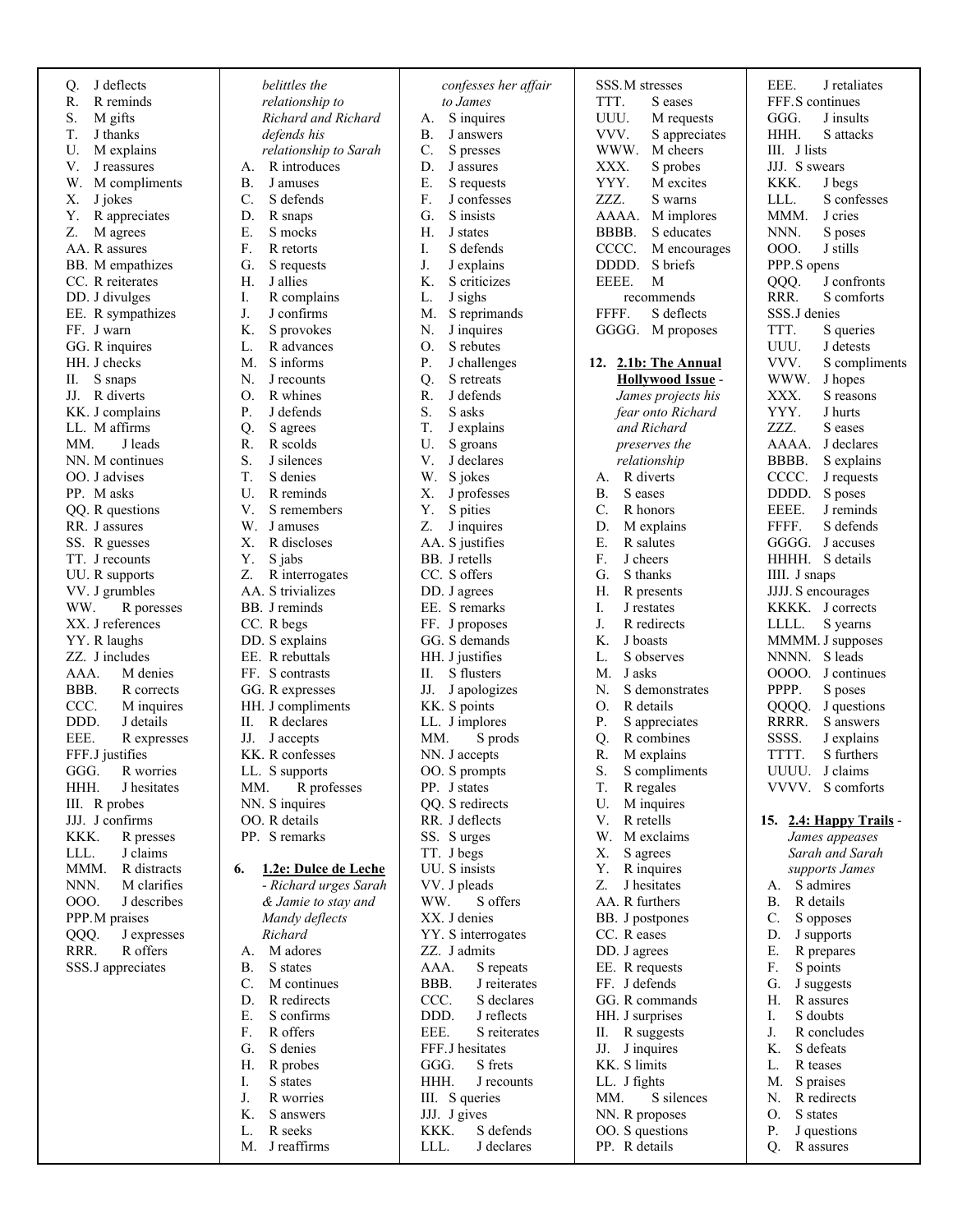| J deflects<br>Q.           | belittles the                          | confesses her affair                       | SSS.M stresses                          | EEE.<br>J retaliates                |
|----------------------------|----------------------------------------|--------------------------------------------|-----------------------------------------|-------------------------------------|
| R.<br>R reminds            | relationship to                        | to James                                   | TTT.<br>S eases                         | FFF.S continues                     |
| S.<br>M gifts              | Richard and Richard                    | S inquires<br>А.                           | UUU.<br>M requests                      | GGG.<br>J insults                   |
| T.<br>J thanks             | defends his                            | <b>B.</b><br>J answers                     | VVV.<br>S appreciates                   | HHH.<br>S attacks                   |
| U.<br>M explains           | relationship to Sarah                  | $\mathbf{C}$ .<br>S presses                | WWW.<br>M cheers                        | III. J lists                        |
| V.<br>J reassures          | R introduces<br>А.                     | D.<br>J assures                            | XXX.<br>S probes                        | JJJ. S swears                       |
| M compliments<br>W.        | <b>B.</b><br>J amuses                  | Ε.<br>S requests                           | YYY.<br>M excites                       | KKK.<br>J begs                      |
| X.<br>J jokes              | C.<br>S defends                        | F.<br>J confesses                          | ZZZ.<br>S warns                         | S confesses<br>LLL.                 |
| Υ.<br>R appreciates        | D.<br>R snaps                          | S insists<br>G.                            | AAAA.<br>M implores                     | MMM.<br>J cries                     |
| Z.<br>M agrees             | Ε.<br>S mocks                          | H.<br>J states                             | BBBB.<br>S educates                     | NNN.<br>S poses                     |
| AA. R assures              | F.<br>R retorts                        | Ι.<br>S defends                            | CCCC.<br>M encourages                   | 000.<br>J stills                    |
| BB. M empathizes           | G.<br>S requests                       | J.<br>J explains                           | DDDD.<br>S briefs                       | PPP.S opens                         |
| CC. R reiterates           | Н.<br>J allies                         | K.<br>S criticizes                         | EEEE.<br>M                              | QQQ.<br>J confronts                 |
| DD. J divulges             | R complains<br>Ι.                      | L.<br>J sighs                              | recommends                              | RRR.<br>S comforts                  |
| EE. R sympathizes          | J.<br>J confirms                       | S reprimands<br>M.                         | FFFF.<br>S deflects                     | SSS.J denies                        |
| FF. J warn                 | K.<br>S provokes                       | J inquires<br>N.                           | GGGG. M proposes                        | TTT.<br>S queries                   |
| GG. R inquires             | L.<br>R advances                       | Ο.<br>S rebutes                            |                                         | UUU.<br>J detests                   |
| HH. J checks               | M.<br>S informs                        | P.<br>J challenges                         | 12. 2.1b: The Annual                    | VVV.<br>S compliments               |
| S snaps<br>П.              | N.<br>J recounts                       | Q.<br>S retreats                           | <b>Hollywood Issue -</b>                | WWW.<br>J hopes                     |
| JJ. R diverts              | R whines<br>О.                         | R.<br>J defends                            | James projects his                      | XXX.<br>S reasons                   |
| KK. J complains            | P.<br>J defends                        | S.<br>S asks                               | fear onto Richard                       | YYY.<br>J hurts                     |
| LL. M affirms              | Q.<br>S agrees                         | T.<br>J explains                           | and Richard                             | ZZZ.<br>S eases                     |
| J leads<br>MM.             | R.<br>R scolds                         | U.<br>S groans                             | preserves the                           | AAAA.<br>J declares                 |
| NN. M continues            | S.<br>J silences                       | V.<br>J declares                           | relationship                            | BBBB.<br>S explains                 |
| OO. J advises<br>PP. Masks | T.<br>S denies<br>U.<br>R reminds      | W.<br>S jokes                              | R diverts<br>А.<br>S eases<br><b>B.</b> | CCCC.<br>J requests<br>S poses      |
| QQ. R questions            | V.<br>S remembers                      | Х.<br>J professes<br>Y.<br>S pities        | C.<br>R honors                          | DDDD.<br>EEEE.<br>J reminds         |
| RR. J assures              | W.<br>J amuses                         | Z.<br>J inquires                           | D.<br>M explains                        | FFFF.<br>S defends                  |
| SS. R guesses              | Χ.<br>R discloses                      | AA. S justifies                            | Ε.<br>R salutes                         | GGGG.<br>J accuses                  |
| TT. J recounts             | Υ.<br>S jabs                           | BB. J retells                              | F.<br>J cheers                          | HHHH. S details                     |
| UU. R supports             | Z.<br>R interrogates                   | CC. S offers                               | G.<br>S thanks                          | IIII. J snaps                       |
| VV. J grumbles             | AA. S trivializes                      | DD. J agrees                               | Н.<br>R presents                        | JJJJ. S encourages                  |
| WW.<br>R poresses          | BB. J reminds                          | EE. S remarks                              | Ι.<br>J restates                        | KKKK. J corrects                    |
| XX. J references           | CC. R begs                             | FF. J proposes                             | J.<br>R redirects                       | S yearns<br>LLLL.                   |
| YY. R laughs               | DD. S explains                         | GG. S demands                              | K.<br>J boasts                          | MMMM. J supposes                    |
| ZZ. J includes             | EE. R rebuttals                        | HH. J justifies                            | L.<br>S observes                        | NNNN. S leads                       |
| AAA.<br>M denies           | FF. S contrasts                        | П.<br>S flusters                           | J asks<br>M.                            | 0000.<br>J continues                |
| BBB.<br>R corrects         | GG. R expresses                        | JJ.<br>J apologizes                        | N.<br>S demonstrates                    | PPPP.<br>S poses                    |
| CCC.<br>M inquires         | HH. J compliments                      | KK. S points                               | О.<br>R details                         | QQQQ.<br>J questions                |
| DDD.<br>J details          | R declares<br>П.                       | LL. J implores                             | P.<br>S appreciates                     | RRRR.<br>S answers                  |
| EEE.<br>R expresses        | JJ.<br>J accepts                       | MM.<br>S prods                             | Q.<br>R combines                        | SSSS.<br>J explains                 |
| FFF.J justifies            | KK. R confesses                        | NN. J accepts                              | R.<br>M explains                        | TTTT.<br>S furthers                 |
| GGG.<br>R worries          | LL. S supports                         | OO. S prompts                              | S.<br>S compliments                     | UUUU.<br>J claims                   |
| HHH.<br>J hesitates        | R professes<br>MM.                     | PP. J states                               | T.<br>R regales                         | VVVV. S comforts                    |
| III. R probes              | NN. S inquires                         | QQ. S redirects                            | U.<br>M inquires                        |                                     |
| JJJ. J confirms            | OO. R details                          | RR. J deflects                             | V.<br>R retells                         | 15. 2.4: Happy Trails -             |
| KKK.<br>R presses          | PP. S remarks                          | SS. Surges                                 | W.<br>M exclaims                        | James appeases                      |
| J claims<br>LLL.           |                                        | TT. J begs                                 | Х.<br>S agrees                          | Sarah and Sarah                     |
| MMM.<br>R distracts        | 1.2e: Dulce de Leche<br>6.             | UU. S insists                              | Υ.<br>R inquires                        | supports James                      |
| NNN.<br>M clarifies        | - Richard urges Sarah                  | VV. J pleads                               | Z.<br>J hesitates                       | S admires<br>А.                     |
| <b>OOO.</b><br>J describes | & Jamie to stay and                    | S offers<br>WW.                            | AA. R furthers                          | <b>B.</b><br>R details              |
| PPP.M praises              | Mandy deflects                         | XX. J denies                               | BB. J postpones                         | C.<br>S opposes                     |
| QQQ.<br>J expresses        | Richard                                | YY. S interrogates                         | CC. Reases                              | D.<br>J supports                    |
| RRR.<br>R offers           | M adores<br>A.                         | ZZ. J admits                               | DD. J agrees                            | Е.<br>R prepares                    |
| SSS.J appreciates          | S states<br>В.                         | AAA.<br>S repeats                          | EE. R requests                          | F.<br>S points                      |
|                            | C.<br>M continues<br>R redirects<br>D. | BBB.<br>J reiterates<br>CCC.<br>S declares | FF. J defends<br>GG. R commands         | G.<br>J suggests<br>Н.<br>R assures |
|                            | Ε.<br>S confirms                       | DDD.<br>J reflects                         | HH. J surprises                         | I.<br>S doubts                      |
|                            | R offers<br>F.                         | EEE.<br>S reiterates                       | II. R suggests                          | J.<br>R concludes                   |
|                            | S denies<br>G.                         | FFF.J hesitates                            | JJ. J inquires                          | K.<br>S defeats                     |
|                            | Н.<br>R probes                         | S frets<br>GGG.                            | KK. S limits                            | L.<br>R teases                      |
|                            | S states<br>Ι.                         | HHH.<br>J recounts                         | LL. J fights                            | M.<br>S praises                     |
|                            | J.<br>R worries                        | III. S queries                             | S silences<br>MM.                       | R redirects<br>N.                   |
|                            | K.<br>S answers                        | JJJ. J gives                               | NN. R proposes                          | O.<br>S states                      |
|                            | R seeks<br>L.                          | S defends<br>KKK.                          | OO. S questions                         | P.<br>J questions                   |
|                            | J reaffirms<br>M.                      | LLL.<br>J declares                         | PP. R details                           | R assures<br>$Q_{\cdot}$            |
|                            |                                        |                                            |                                         |                                     |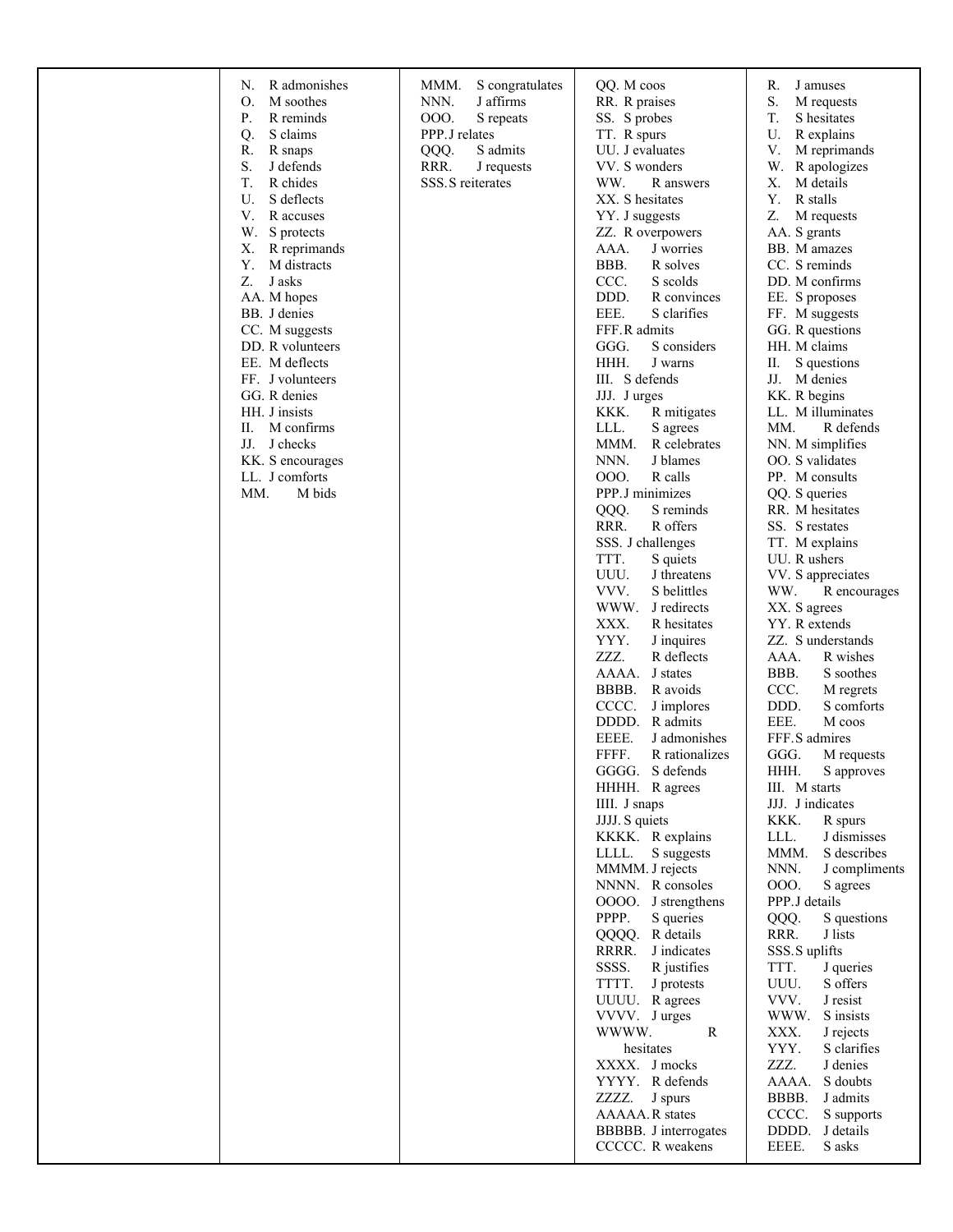|  | R admonishes<br>N.<br>Ο.<br>M soothes<br>P.<br>R reminds<br>Q.<br>S claims<br>R.<br>R snaps<br>S.<br>J defends<br>T.<br>R chides<br>U.<br>S deflects<br>V.<br>R accuses<br>W.<br>S protects<br>R reprimands<br>Х.<br>Y.<br>M distracts<br>Z.<br>J asks<br>AA. M hopes<br>BB. J denies<br>CC. M suggests<br>DD. R volunteers<br>EE. M deflects<br>FF. J volunteers<br>GG. R denies<br>HH. J insists<br>Π.<br>M confirms<br>J checks<br>JJ.<br>KK. S encourages<br>LL. J comforts<br>MM.<br>M bids | MMM.<br>S congratulates<br>J affirms<br>NNN.<br>000.<br>S repeats<br>PPP.J relates<br>QQQ.<br>S admits<br>RRR.<br>J requests<br>SSS. S reiterates | QQ. M coos<br>RR. R praises<br>SS. S probes<br>TT. R spurs<br>UU. J evaluates<br>VV. S wonders<br>WW.<br>R answers<br>XX. S hesitates<br>YY. J suggests<br>ZZ. R overpowers<br>AAA.<br>J worries<br>BBB.<br>R solves<br>CCC.<br>S scolds<br>DDD.<br>R convinces<br>EEE.<br>S clarifies<br>FFF.R admits<br>S considers<br>GGG.<br>HHH.<br>J warns<br>III. S defends<br>JJJ. Jurges<br>KKK.<br>R mitigates<br>LLL.<br>S agrees<br>MMM.<br>R celebrates<br>NNN.<br>J blames<br>000.<br>R calls<br>PPP.J minimizes<br>S reminds<br>QQQ.<br>RRR.<br>R offers<br>SSS. J challenges<br>TTT.<br>S quiets<br>UUU.<br>J threatens<br>VVV.<br>S belittles<br>WWW.<br>J redirects<br>XXX.<br>R hesitates<br>YYY.<br>J inquires<br>ZZZ.<br>R deflects<br>AAAA.<br>J states<br>BBBB.<br>R avoids<br>CCCC.<br>J implores<br>R admits<br>DDDD.<br>EEEE.<br>J admonishes<br>FFFF.<br>R rationalizes<br>GGGG. S defends<br>HHHH. R agrees<br>IIII. J snaps<br>JJJJ. S quiets<br>KKKK. R explains<br>LLLL. S suggests<br>MMMM. J rejects<br>NNNN. R consoles<br>OOOO. J strengthens<br>PPPP.<br>S queries<br>QQQQ.<br>R details<br>RRRR.<br>J indicates<br>SSSS.<br>R justifies<br>TTTT.<br>J protests<br>UUUU. Ragrees<br>VVVV. Jurges<br>WWWW.<br>R<br>hesitates<br>XXXX. J mocks<br>YYYY. R defends<br>ZZZZ.<br>J spurs<br>AAAAA.R states<br>BBBBB. J interrogates<br>CCCCC. R weakens | R.<br>J amuses<br>S.<br>M requests<br>T.<br>S hesitates<br>U.<br>R explains<br>$\mathbf V.$<br>M reprimands<br>W.<br>R apologizes<br>M details<br>X.<br>Υ.<br>R stalls<br>Z.<br>M requests<br>AA. S grants<br>BB. M amazes<br>CC. S reminds<br>DD. M confirms<br>EE. S proposes<br>FF. M suggests<br>GG. R questions<br>HH. M claims<br>П.<br>S questions<br>JJ. M denies<br>KK. R begins<br>LL. M illuminates<br>MM.<br>R defends<br>NN. M simplifies<br>OO. S validates<br>PP. M consults<br>QQ. S queries<br>RR. M hesitates<br>SS. S restates<br>TT. M explains<br>UU. R ushers<br>VV. S appreciates<br>WW.<br>R encourages<br>XX. S agrees<br>YY. R extends<br>ZZ. S understands<br>AAA.<br>R wishes<br>BBB.<br>S soothes<br>CCC.<br>M regrets<br>DDD.<br>S comforts<br>EEE.<br>M coos<br>FFF.S admires<br>GGG.<br>M requests<br>HHH.<br>S approves<br>III. M starts<br>JJJ. J indicates<br>KKK.<br>R spurs<br>LLL.<br>J dismisses<br>MMM.<br>S describes<br>NNN.<br>J compliments<br>000.<br>S agrees<br>PPP.J details<br>QQQ.<br>S questions<br>RRR.<br>J lists<br>SSS.S uplifts<br>TTT.<br>J queries<br>UUU.<br>S offers<br>VVV.<br>J resist<br>WWW.<br>S insists<br>XXX.<br>J rejects<br>YYY.<br>S clarifies<br>ZZZ.<br>J denies<br>S doubts<br>AAAA.<br>BBBB.<br>J admits<br>CCCC.<br>S supports<br>DDDD.<br>J details<br>EEEE.<br>S asks |
|--|--------------------------------------------------------------------------------------------------------------------------------------------------------------------------------------------------------------------------------------------------------------------------------------------------------------------------------------------------------------------------------------------------------------------------------------------------------------------------------------------------|---------------------------------------------------------------------------------------------------------------------------------------------------|------------------------------------------------------------------------------------------------------------------------------------------------------------------------------------------------------------------------------------------------------------------------------------------------------------------------------------------------------------------------------------------------------------------------------------------------------------------------------------------------------------------------------------------------------------------------------------------------------------------------------------------------------------------------------------------------------------------------------------------------------------------------------------------------------------------------------------------------------------------------------------------------------------------------------------------------------------------------------------------------------------------------------------------------------------------------------------------------------------------------------------------------------------------------------------------------------------------------------------------------------------------------------------------------------------------------------------------------------------------------|-----------------------------------------------------------------------------------------------------------------------------------------------------------------------------------------------------------------------------------------------------------------------------------------------------------------------------------------------------------------------------------------------------------------------------------------------------------------------------------------------------------------------------------------------------------------------------------------------------------------------------------------------------------------------------------------------------------------------------------------------------------------------------------------------------------------------------------------------------------------------------------------------------------------------------------------------------------------------------------------------------------------------------------------------------------------------------------------------------------------------------------------------------------------------------------------------------------------------------------------------------------------------------------------------------------------------------------------------------|
|--|--------------------------------------------------------------------------------------------------------------------------------------------------------------------------------------------------------------------------------------------------------------------------------------------------------------------------------------------------------------------------------------------------------------------------------------------------------------------------------------------------|---------------------------------------------------------------------------------------------------------------------------------------------------|------------------------------------------------------------------------------------------------------------------------------------------------------------------------------------------------------------------------------------------------------------------------------------------------------------------------------------------------------------------------------------------------------------------------------------------------------------------------------------------------------------------------------------------------------------------------------------------------------------------------------------------------------------------------------------------------------------------------------------------------------------------------------------------------------------------------------------------------------------------------------------------------------------------------------------------------------------------------------------------------------------------------------------------------------------------------------------------------------------------------------------------------------------------------------------------------------------------------------------------------------------------------------------------------------------------------------------------------------------------------|-----------------------------------------------------------------------------------------------------------------------------------------------------------------------------------------------------------------------------------------------------------------------------------------------------------------------------------------------------------------------------------------------------------------------------------------------------------------------------------------------------------------------------------------------------------------------------------------------------------------------------------------------------------------------------------------------------------------------------------------------------------------------------------------------------------------------------------------------------------------------------------------------------------------------------------------------------------------------------------------------------------------------------------------------------------------------------------------------------------------------------------------------------------------------------------------------------------------------------------------------------------------------------------------------------------------------------------------------------|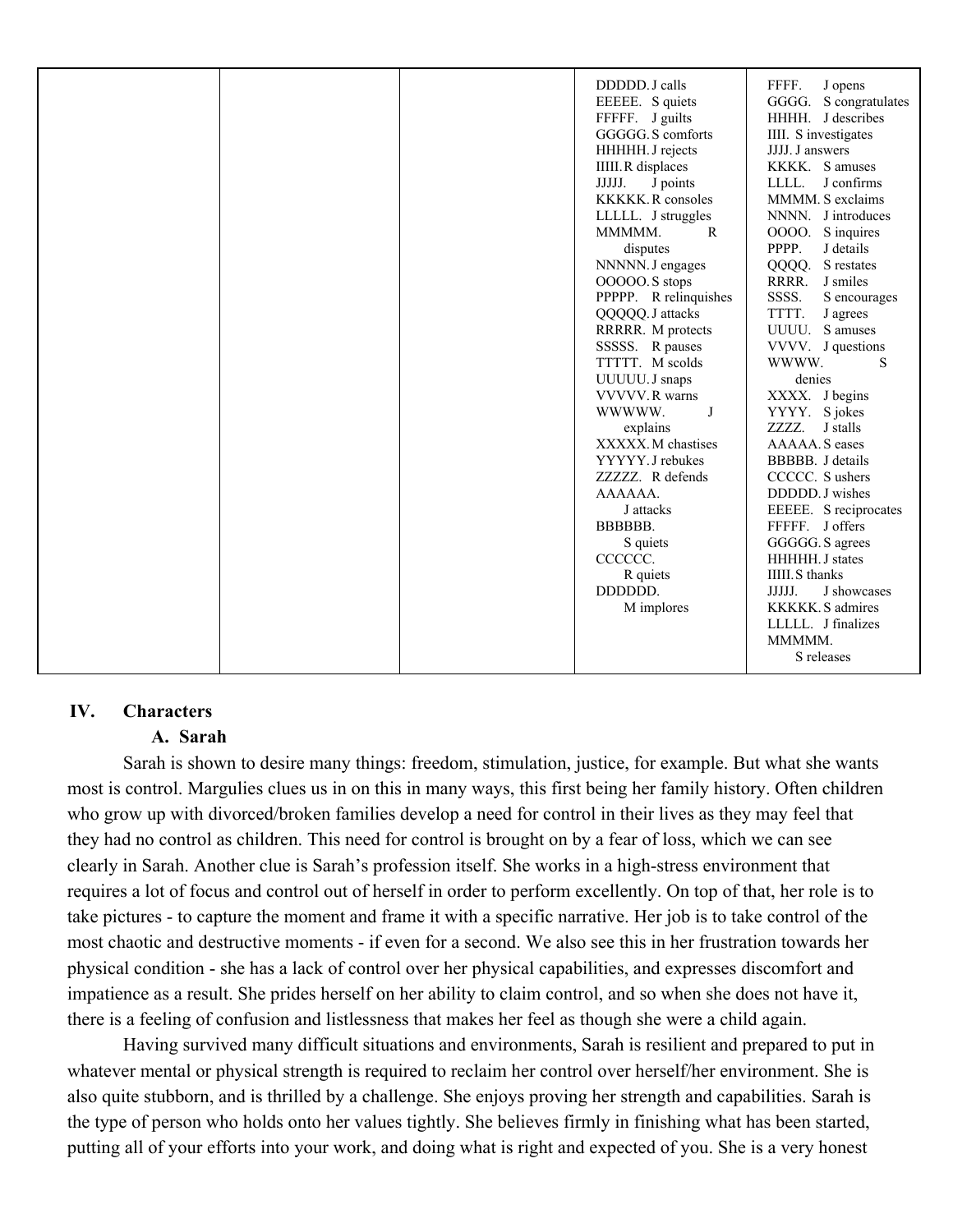|  | DDDDD. J calls<br>EEEEE. S quiets<br>FFFFF. J guilts<br>GGGGG. S comforts<br>HHHHH. J rejects<br><b>IIIII.R</b> displaces<br>J points<br>JJJJJ.<br><b>KKKKK.</b> R consoles<br>LLLLL. J struggles<br>MMMMM.<br>$\mathbf{R}$<br>disputes<br>NNNNN. J engages<br>OOOOO.S stops<br>PPPPP. R relinquishes<br>QQQQQ. J attacks<br>RRRRR. M protects<br>SSSSS. R pauses<br>TTTTT. M scolds<br>UUUUU. J snaps<br>VVVVV, R warns<br>WWWW.<br>J<br>explains<br>XXXXX. M chastises<br>YYYYY, J rebukes<br>ZZZZZ. R defends<br>AAAAAA.<br>J attacks<br>BBBBBB.<br>S quiets<br>CCCCCC.<br>R quiets<br>DDDDDD.<br>M implores | FFFF.<br>J opens<br>GGGG. S congratulates<br>HHHH. J describes<br>IIII. S investigates<br>JJJJ. J answers<br>KKKK. Samuses<br>J confirms<br>LLLL.<br>MMMM. S exclaims<br>NNNN. J introduces<br>OOOO. S inquires<br>PPPP.<br>J details<br>S restates<br>QQQQ.<br>RRRR.<br>J smiles<br>SSSS.<br>S encourages<br>TTTT.<br>J agrees<br>UUUU. S amuses<br>VVVV. J questions<br>WWWW.<br>S<br>denies<br>XXXX. J begins<br>YYYY. S jokes<br>ZZZZ.<br>J stalls<br>AAAAA. S eases<br>BBBBB. J details<br>CCCCC. S ushers<br>DDDDD. J wishes<br>EEEEE. S reciprocates<br>FFFFF. J offers<br>GGGGG. S agrees<br>HHHHH. J states<br><b>IIIII.S</b> thanks<br>JJJJJ.<br>J showcases<br>KKKKK. S admires<br>LLLLL. J finalizes |
|--|-----------------------------------------------------------------------------------------------------------------------------------------------------------------------------------------------------------------------------------------------------------------------------------------------------------------------------------------------------------------------------------------------------------------------------------------------------------------------------------------------------------------------------------------------------------------------------------------------------------------|------------------------------------------------------------------------------------------------------------------------------------------------------------------------------------------------------------------------------------------------------------------------------------------------------------------------------------------------------------------------------------------------------------------------------------------------------------------------------------------------------------------------------------------------------------------------------------------------------------------------------------------------------------------------------------------------------------------|
|  |                                                                                                                                                                                                                                                                                                                                                                                                                                                                                                                                                                                                                 | MMMMM.<br>S releases                                                                                                                                                                                                                                                                                                                                                                                                                                                                                                                                                                                                                                                                                             |

# **IV. Characters**

# **A. Sarah**

Sarah is shown to desire many things: freedom, stimulation, justice, for example. But what she wants most is control. Margulies clues us in on this in many ways, this first being her family history. Often children who grow up with divorced/broken families develop a need for control in their lives as they may feel that they had no control as children. This need for control is brought on by a fear of loss, which we can see clearly in Sarah. Another clue is Sarah's profession itself. She works in a high-stress environment that requires a lot of focus and control out of herself in order to perform excellently. On top of that, her role is to take pictures - to capture the moment and frame it with a specific narrative. Her job is to take control of the most chaotic and destructive moments - if even for a second. We also see this in her frustration towards her physical condition - she has a lack of control over her physical capabilities, and expresses discomfort and impatience as a result. She prides herself on her ability to claim control, and so when she does not have it, there is a feeling of confusion and listlessness that makes her feel as though she were a child again.

Having survived many difficult situations and environments, Sarah is resilient and prepared to put in whatever mental or physical strength is required to reclaim her control over herself/her environment. She is also quite stubborn, and is thrilled by a challenge. She enjoys proving her strength and capabilities. Sarah is the type of person who holds onto her values tightly. She believes firmly in finishing what has been started, putting all of your efforts into your work, and doing what is right and expected of you. She is a very honest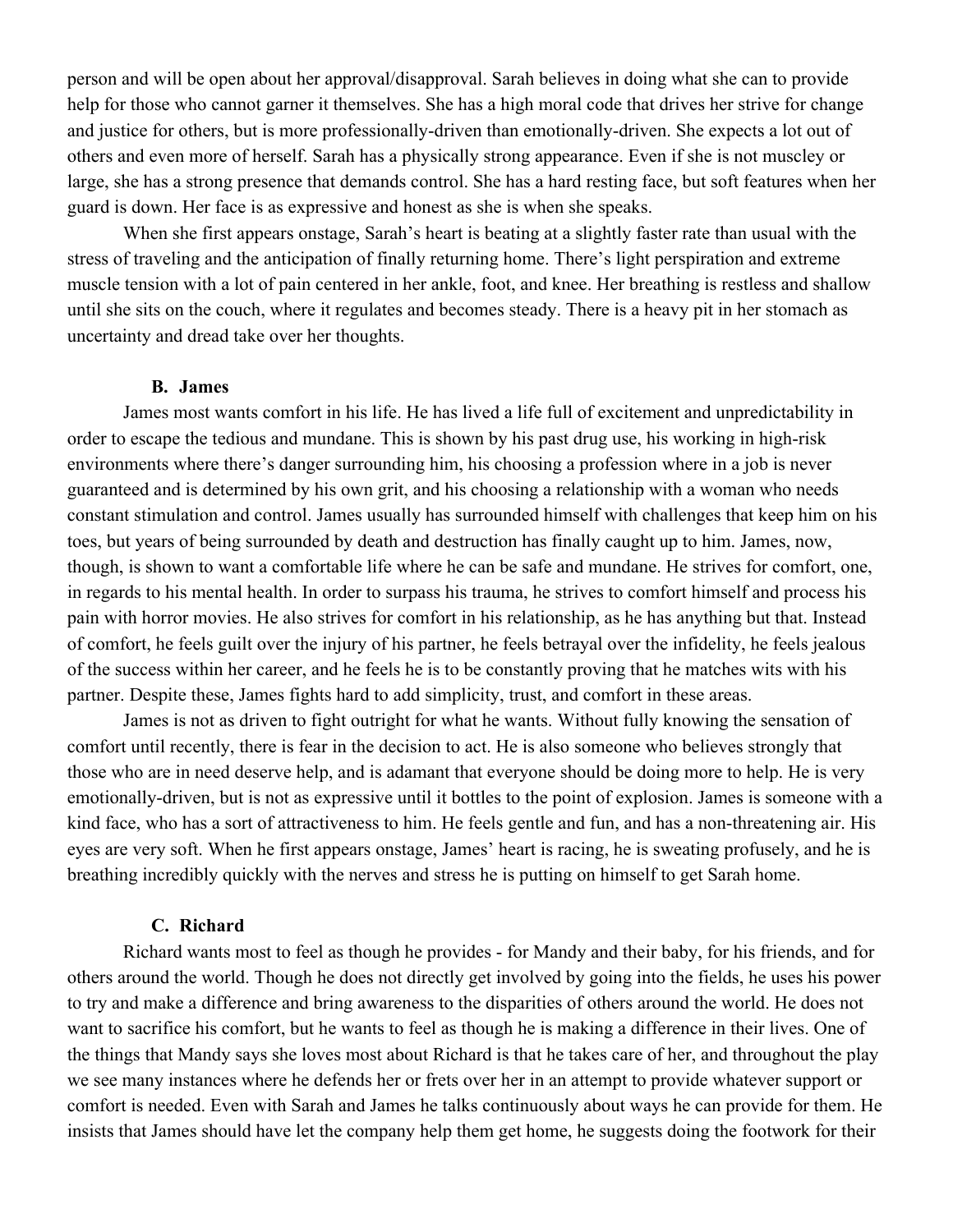person and will be open about her approval/disapproval. Sarah believes in doing what she can to provide help for those who cannot garner it themselves. She has a high moral code that drives her strive for change and justice for others, but is more professionally-driven than emotionally-driven. She expects a lot out of others and even more of herself. Sarah has a physically strong appearance. Even if she is not muscley or large, she has a strong presence that demands control. She has a hard resting face, but soft features when her guard is down. Her face is as expressive and honest as she is when she speaks.

When she first appears onstage, Sarah's heart is beating at a slightly faster rate than usual with the stress of traveling and the anticipation of finally returning home. There's light perspiration and extreme muscle tension with a lot of pain centered in her ankle, foot, and knee. Her breathing is restless and shallow until she sits on the couch, where it regulates and becomes steady. There is a heavy pit in her stomach as uncertainty and dread take over her thoughts.

#### **B. James**

James most wants comfort in his life. He has lived a life full of excitement and unpredictability in order to escape the tedious and mundane. This is shown by his past drug use, his working in high-risk environments where there's danger surrounding him, his choosing a profession where in a job is never guaranteed and is determined by his own grit, and his choosing a relationship with a woman who needs constant stimulation and control. James usually has surrounded himself with challenges that keep him on his toes, but years of being surrounded by death and destruction has finally caught up to him. James, now, though, is shown to want a comfortable life where he can be safe and mundane. He strives for comfort, one, in regards to his mental health. In order to surpass his trauma, he strives to comfort himself and process his pain with horror movies. He also strives for comfort in his relationship, as he has anything but that. Instead of comfort, he feels guilt over the injury of his partner, he feels betrayal over the infidelity, he feels jealous of the success within her career, and he feels he is to be constantly proving that he matches wits with his partner. Despite these, James fights hard to add simplicity, trust, and comfort in these areas.

James is not as driven to fight outright for what he wants. Without fully knowing the sensation of comfort until recently, there is fear in the decision to act. He is also someone who believes strongly that those who are in need deserve help, and is adamant that everyone should be doing more to help. He is very emotionally-driven, but is not as expressive until it bottles to the point of explosion. James is someone with a kind face, who has a sort of attractiveness to him. He feels gentle and fun, and has a non-threatening air. His eyes are very soft. When he first appears onstage, James' heart is racing, he is sweating profusely, and he is breathing incredibly quickly with the nerves and stress he is putting on himself to get Sarah home.

#### **C. Richard**

Richard wants most to feel as though he provides - for Mandy and their baby, for his friends, and for others around the world. Though he does not directly get involved by going into the fields, he uses his power to try and make a difference and bring awareness to the disparities of others around the world. He does not want to sacrifice his comfort, but he wants to feel as though he is making a difference in their lives. One of the things that Mandy says she loves most about Richard is that he takes care of her, and throughout the play we see many instances where he defends her or frets over her in an attempt to provide whatever support or comfort is needed. Even with Sarah and James he talks continuously about ways he can provide for them. He insists that James should have let the company help them get home, he suggests doing the footwork for their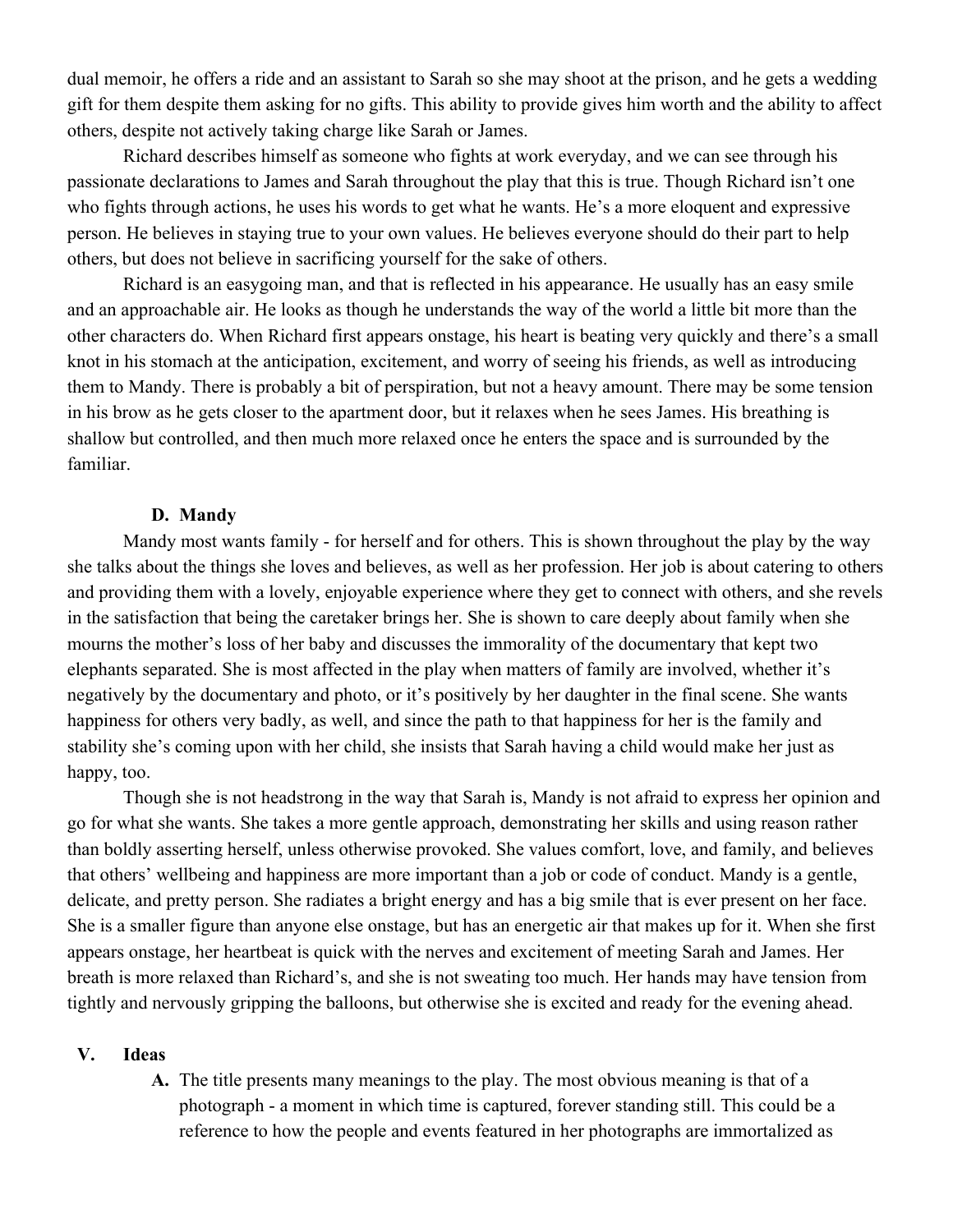dual memoir, he offers a ride and an assistant to Sarah so she may shoot at the prison, and he gets a wedding gift for them despite them asking for no gifts. This ability to provide gives him worth and the ability to affect others, despite not actively taking charge like Sarah or James.

Richard describes himself as someone who fights at work everyday, and we can see through his passionate declarations to James and Sarah throughout the play that this is true. Though Richard isn't one who fights through actions, he uses his words to get what he wants. He's a more eloquent and expressive person. He believes in staying true to your own values. He believes everyone should do their part to help others, but does not believe in sacrificing yourself for the sake of others.

Richard is an easygoing man, and that is reflected in his appearance. He usually has an easy smile and an approachable air. He looks as though he understands the way of the world a little bit more than the other characters do. When Richard first appears onstage, his heart is beating very quickly and there's a small knot in his stomach at the anticipation, excitement, and worry of seeing his friends, as well as introducing them to Mandy. There is probably a bit of perspiration, but not a heavy amount. There may be some tension in his brow as he gets closer to the apartment door, but it relaxes when he sees James. His breathing is shallow but controlled, and then much more relaxed once he enters the space and is surrounded by the familiar.

### **D. Mandy**

Mandy most wants family - for herself and for others. This is shown throughout the play by the way she talks about the things she loves and believes, as well as her profession. Her job is about catering to others and providing them with a lovely, enjoyable experience where they get to connect with others, and she revels in the satisfaction that being the caretaker brings her. She is shown to care deeply about family when she mourns the mother's loss of her baby and discusses the immorality of the documentary that kept two elephants separated. She is most affected in the play when matters of family are involved, whether it's negatively by the documentary and photo, or it's positively by her daughter in the final scene. She wants happiness for others very badly, as well, and since the path to that happiness for her is the family and stability she's coming upon with her child, she insists that Sarah having a child would make her just as happy, too.

Though she is not headstrong in the way that Sarah is, Mandy is not afraid to express her opinion and go for what she wants. She takes a more gentle approach, demonstrating her skills and using reason rather than boldly asserting herself, unless otherwise provoked. She values comfort, love, and family, and believes that others' wellbeing and happiness are more important than a job or code of conduct. Mandy is a gentle, delicate, and pretty person. She radiates a bright energy and has a big smile that is ever present on her face. She is a smaller figure than anyone else onstage, but has an energetic air that makes up for it. When she first appears onstage, her heartbeat is quick with the nerves and excitement of meeting Sarah and James. Her breath is more relaxed than Richard's, and she is not sweating too much. Her hands may have tension from tightly and nervously gripping the balloons, but otherwise she is excited and ready for the evening ahead.

#### **V. Ideas**

**A.** The title presents many meanings to the play. The most obvious meaning is that of a photograph - a moment in which time is captured, forever standing still. This could be a reference to how the people and events featured in her photographs are immortalized as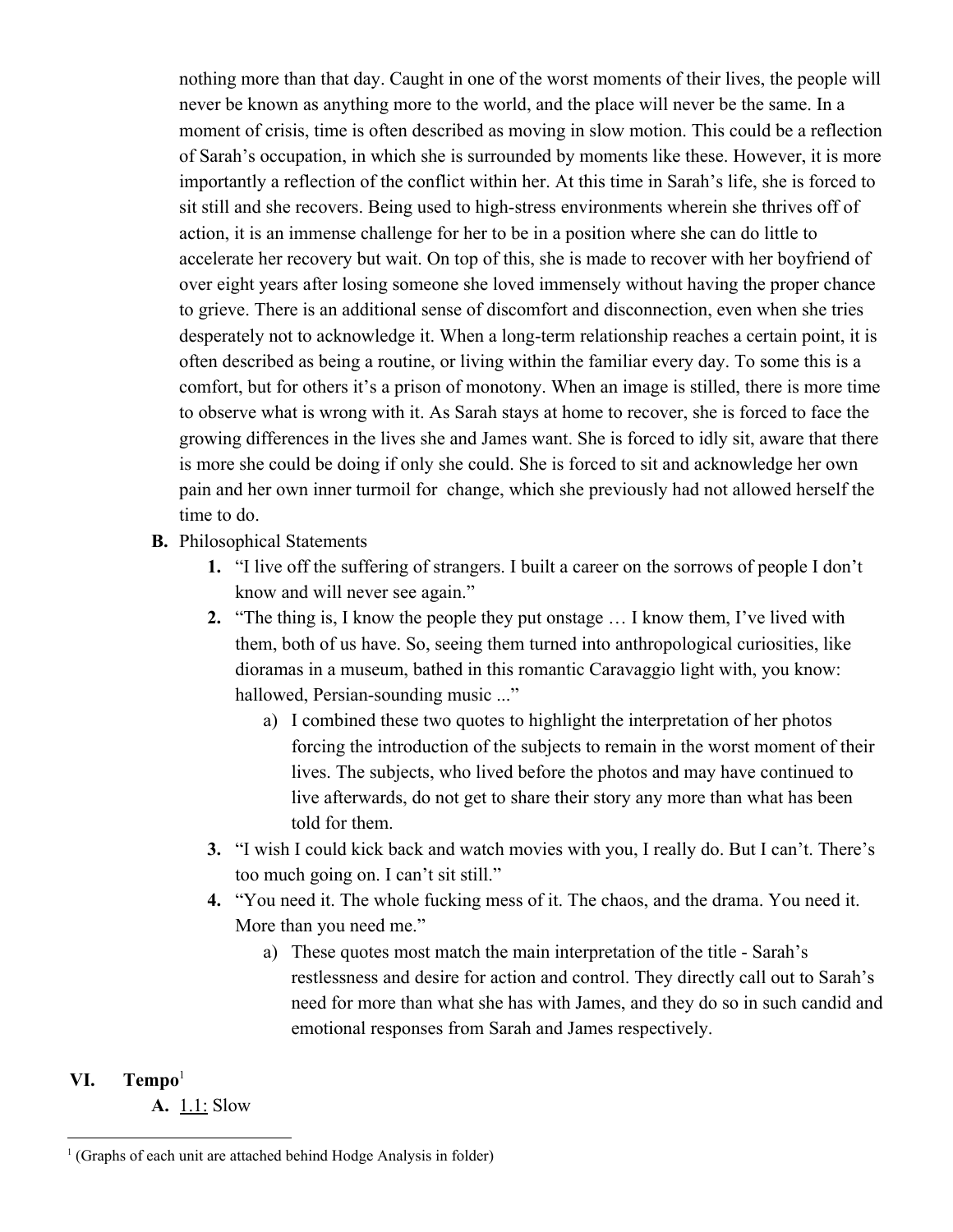nothing more than that day. Caught in one of the worst moments of their lives, the people will never be known as anything more to the world, and the place will never be the same. In a moment of crisis, time is often described as moving in slow motion. This could be a reflection of Sarah's occupation, in which she is surrounded by moments like these. However, it is more importantly a reflection of the conflict within her. At this time in Sarah's life, she is forced to sit still and she recovers. Being used to high-stress environments wherein she thrives off of action, it is an immense challenge for her to be in a position where she can do little to accelerate her recovery but wait. On top of this, she is made to recover with her boyfriend of over eight years after losing someone she loved immensely without having the proper chance to grieve. There is an additional sense of discomfort and disconnection, even when she tries desperately not to acknowledge it. When a long-term relationship reaches a certain point, it is often described as being a routine, or living within the familiar every day. To some this is a comfort, but for others it's a prison of monotony. When an image is stilled, there is more time to observe what is wrong with it. As Sarah stays at home to recover, she is forced to face the growing differences in the lives she and James want. She is forced to idly sit, aware that there is more she could be doing if only she could. She is forced to sit and acknowledge her own pain and her own inner turmoil for change, which she previously had not allowed herself the time to do.

- **B.** Philosophical Statements
	- **1.** "I live off the suffering of strangers. I built a career on the sorrows of people I don't know and will never see again."
	- **2.** "The thing is, I know the people they put onstage … I know them, I've lived with them, both of us have. So, seeing them turned into anthropological curiosities, like dioramas in a museum, bathed in this romantic Caravaggio light with, you know: hallowed, Persian-sounding music ..."
		- a) I combined these two quotes to highlight the interpretation of her photos forcing the introduction of the subjects to remain in the worst moment of their lives. The subjects, who lived before the photos and may have continued to live afterwards, do not get to share their story any more than what has been told for them.
	- **3.** "I wish I could kick back and watch movies with you, I really do. But I can't. There's too much going on. I can't sit still."
	- **4.** "You need it. The whole fucking mess of it. The chaos, and the drama. You need it. More than you need me."
		- a) These quotes most match the main interpretation of the title Sarah's restlessness and desire for action and control. They directly call out to Sarah's need for more than what she has with James, and they do so in such candid and emotional responses from Sarah and James respectively.

# **VI. Tempo**<sup>1</sup>

**A.** 1.1: Slow

<sup>&</sup>lt;sup>1</sup> (Graphs of each unit are attached behind Hodge Analysis in folder)